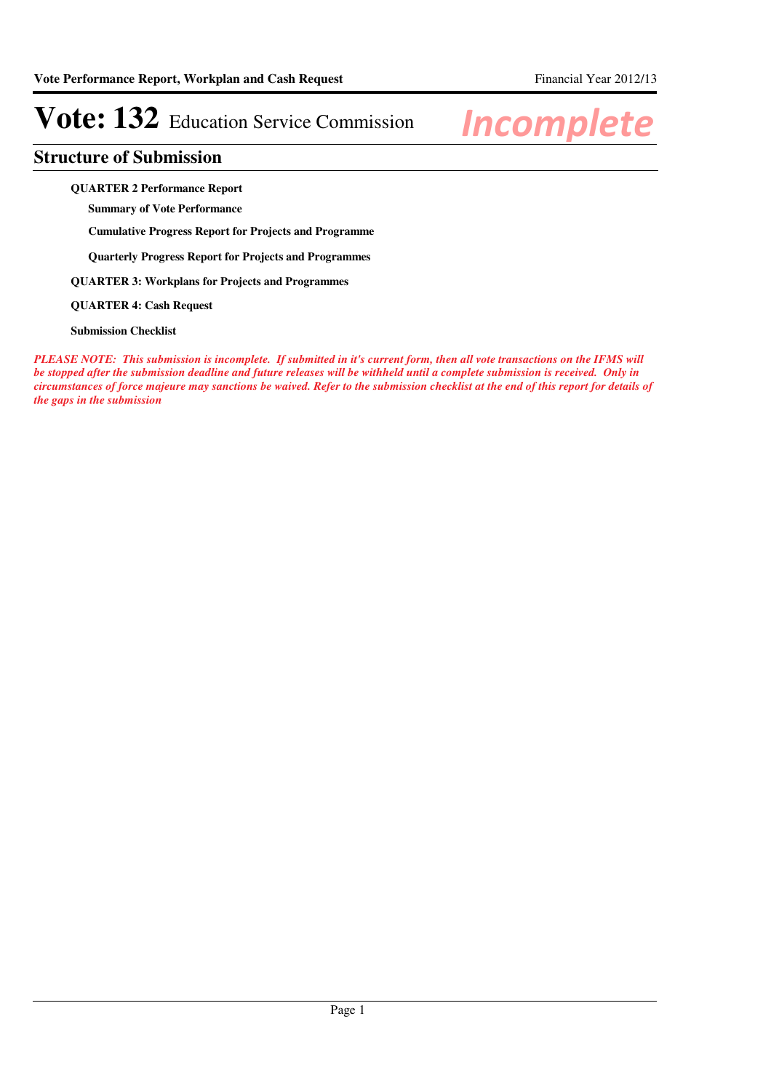### **Structure of Submission**

**QUARTER 2 Performance Report**

**Summary of Vote Performance**

**Cumulative Progress Report for Projects and Programme**

**Quarterly Progress Report for Projects and Programmes**

**QUARTER 3: Workplans for Projects and Programmes**

**QUARTER 4: Cash Request**

**Submission Checklist**

*PLEASE NOTE: This submission is incomplete. If submitted in it's current form, then all vote transactions on the IFMS will be stopped after the submission deadline and future releases will be withheld until a complete submission is received. Only in circumstances of force majeure may sanctions be waived. Refer to the submission checklist at the end of this report for details of the gaps in the submission*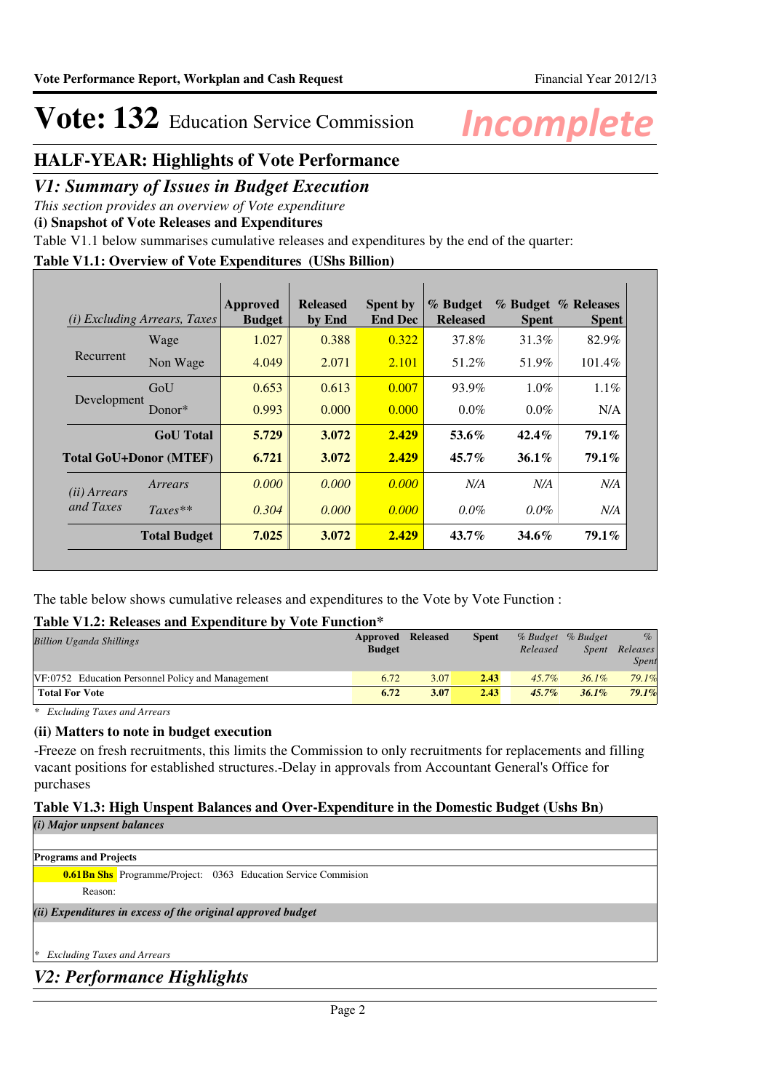### **HALF-YEAR: Highlights of Vote Performance**

### *V1: Summary of Issues in Budget Execution*

*This section provides an overview of Vote expenditure* 

**(i) Snapshot of Vote Releases and Expenditures**

Table V1.1 below summarises cumulative releases and expenditures by the end of the quarter:

### **Table V1.1: Overview of Vote Expenditures (UShs Billion)**

|                       | ( <i>i</i> ) Excluding Arrears, Taxes | Approved<br><b>Budget</b> | <b>Released</b><br>by End | <b>Spent by</b><br><b>End Dec</b> | % Budget<br><b>Released</b> | <b>Spent</b> | % Budget % Releases<br><b>Spent</b> |
|-----------------------|---------------------------------------|---------------------------|---------------------------|-----------------------------------|-----------------------------|--------------|-------------------------------------|
|                       | Wage                                  | 1.027                     | 0.388                     | 0.322                             | 37.8%                       | 31.3%        | 82.9%                               |
| Recurrent             | Non Wage                              | 4.049                     | 2.071                     | 2.101                             | 51.2%                       | 51.9%        | 101.4%                              |
| Development           | GoU                                   | 0.653                     | 0.613                     | 0.007                             | 93.9%                       | $1.0\%$      | $1.1\%$                             |
|                       | Donor $*$                             | 0.993                     | 0.000                     | 0.000                             | $0.0\%$                     | $0.0\%$      | N/A                                 |
|                       | <b>GoU</b> Total                      | 5.729                     | 3.072                     | 2.429                             | $53.6\%$                    | $42.4\%$     | $79.1\%$                            |
|                       | <b>Total GoU+Donor (MTEF)</b>         | 6.721                     | 3.072                     | 2.429                             | $45.7\%$                    | $36.1\%$     | 79.1%                               |
| ( <i>ii</i> ) Arrears | Arrears                               | 0.000                     | 0.000                     | 0.000                             | N/A                         | N/A          | N/A                                 |
| and Taxes             | $Taxes**$                             | 0.304                     | 0.000                     | 0.000                             | $0.0\%$                     | $0.0\%$      | N/A                                 |
|                       | <b>Total Budget</b>                   | 7.025                     | 3.072                     | 2.429                             | $43.7\%$                    | $34.6\%$     | 79.1%                               |

The table below shows cumulative releases and expenditures to the Vote by Vote Function :

### **Table V1.2: Releases and Expenditure by Vote Function\***

| <b>Billion Uganda Shillings</b>                   | Approved<br><b>Budget</b> | Released | <b>Spent</b> | % Budget % Budget<br>Released | Spent    | $\%$<br>Releases<br>Spent |
|---------------------------------------------------|---------------------------|----------|--------------|-------------------------------|----------|---------------------------|
| VF:0752 Education Personnel Policy and Management | 6.72                      | 3.07     | 2.43         | $45.7\%$                      | $36.1\%$ | 79.1%                     |
| <b>Total For Vote</b>                             | 6.72                      | 3.07     | 2.43         | $45.7\%$                      | 36.1%    | 79.1%                     |

*\* Excluding Taxes and Arrears*

### **(ii) Matters to note in budget execution**

-Freeze on fresh recruitments, this limits the Commission to only recruitments for replacements and filling vacant positions for established structures.-Delay in approvals from Accountant General's Office for purchases

### **Table V1.3: High Unspent Balances and Over-Expenditure in the Domestic Budget (Ushs Bn)**

*(i) Major unpsent balances*

**Programs and Projects**

**0.61Bn Shs** Programme/Project: 0363 Education Service Commision Reason:

*(ii) Expenditures in excess of the original approved budget*

*\* Excluding Taxes and Arrears*

### *V2: Performance Highlights*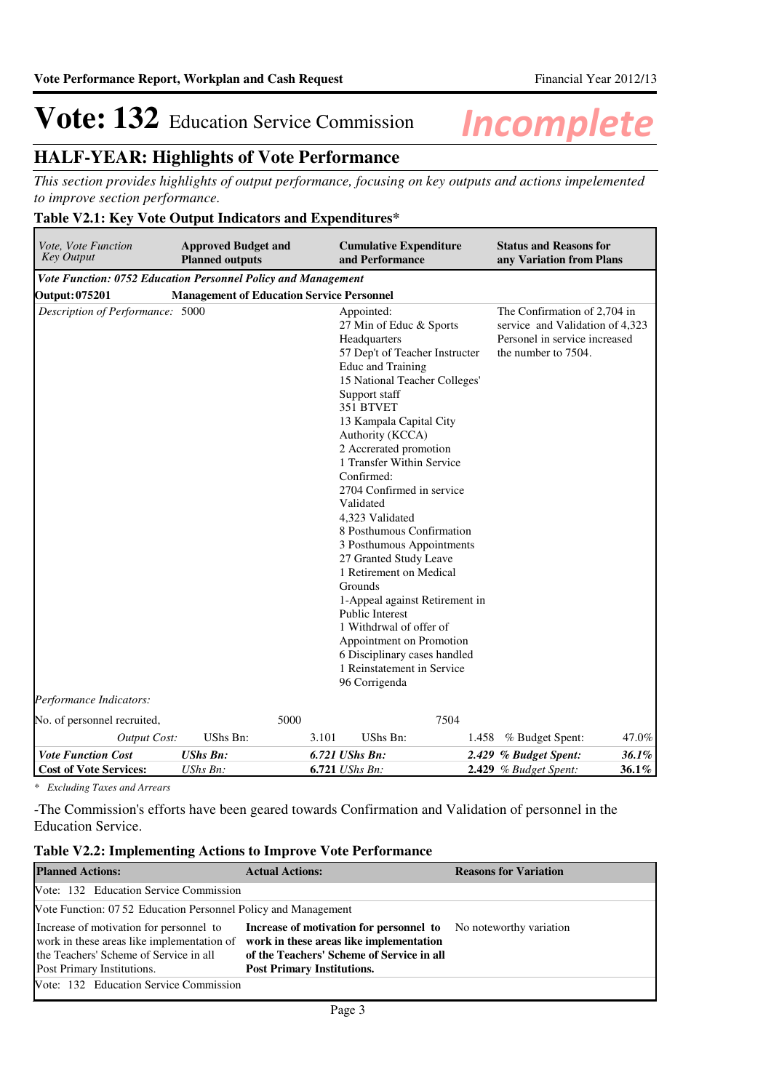## **HALF-YEAR: Highlights of Vote Performance**

*This section provides highlights of output performance, focusing on key outputs and actions impelemented to improve section performance.*

### **Table V2.1: Key Vote Output Indicators and Expenditures\***

| Vote, Vote Function<br><b>Key Output</b> | <b>Approved Budget and</b><br><b>Planned outputs</b>          | <b>Cumulative Expenditure</b><br>and Performance                                                                                                                                                                                                                                                                                                                                                                                                                                                                                                                                                                                          | <b>Status and Reasons for</b><br>any Variation from Plans                                                               |  |  |  |  |  |  |  |
|------------------------------------------|---------------------------------------------------------------|-------------------------------------------------------------------------------------------------------------------------------------------------------------------------------------------------------------------------------------------------------------------------------------------------------------------------------------------------------------------------------------------------------------------------------------------------------------------------------------------------------------------------------------------------------------------------------------------------------------------------------------------|-------------------------------------------------------------------------------------------------------------------------|--|--|--|--|--|--|--|
|                                          | Vote Function: 0752 Education Personnel Policy and Management |                                                                                                                                                                                                                                                                                                                                                                                                                                                                                                                                                                                                                                           |                                                                                                                         |  |  |  |  |  |  |  |
| <b>Output: 075201</b>                    | <b>Management of Education Service Personnel</b>              |                                                                                                                                                                                                                                                                                                                                                                                                                                                                                                                                                                                                                                           |                                                                                                                         |  |  |  |  |  |  |  |
| Description of Performance: 5000         |                                                               | Appointed:<br>27 Min of Educ & Sports<br>Headquarters<br>57 Dep't of Teacher Instructer<br>Educ and Training<br>15 National Teacher Colleges'<br>Support staff<br>351 BTVET<br>13 Kampala Capital City<br>Authority (KCCA)<br>2 Accrerated promotion<br>1 Transfer Within Service<br>Confirmed:<br>2704 Confirmed in service<br>Validated<br>4,323 Validated<br>8 Posthumous Confirmation<br>3 Posthumous Appointments<br>27 Granted Study Leave<br>1 Retirement on Medical<br>Grounds<br>1-Appeal against Retirement in<br><b>Public Interest</b><br>1 Withdrwal of offer of<br>Appointment on Promotion<br>6 Disciplinary cases handled | The Confirmation of 2,704 in<br>service and Validation of 4,323<br>Personel in service increased<br>the number to 7504. |  |  |  |  |  |  |  |
|                                          |                                                               | 1 Reinstatement in Service                                                                                                                                                                                                                                                                                                                                                                                                                                                                                                                                                                                                                |                                                                                                                         |  |  |  |  |  |  |  |
| Performance Indicators:                  |                                                               | 96 Corrigenda                                                                                                                                                                                                                                                                                                                                                                                                                                                                                                                                                                                                                             |                                                                                                                         |  |  |  |  |  |  |  |
|                                          |                                                               |                                                                                                                                                                                                                                                                                                                                                                                                                                                                                                                                                                                                                                           |                                                                                                                         |  |  |  |  |  |  |  |
| No. of personnel recruited,              | 5000                                                          | 7504                                                                                                                                                                                                                                                                                                                                                                                                                                                                                                                                                                                                                                      |                                                                                                                         |  |  |  |  |  |  |  |
| <b>Output Cost:</b>                      | UShs Bn:                                                      | UShs Bn:<br>3.101                                                                                                                                                                                                                                                                                                                                                                                                                                                                                                                                                                                                                         | % Budget Spent:<br>47.0%<br>1.458                                                                                       |  |  |  |  |  |  |  |
| <b>Vote Function Cost</b>                | <b>UShs Bn:</b>                                               | 6.721 UShs Bn:                                                                                                                                                                                                                                                                                                                                                                                                                                                                                                                                                                                                                            | 36.1%<br>2.429 % Budget Spent:                                                                                          |  |  |  |  |  |  |  |
| <b>Cost of Vote Services:</b>            | UShs Bn:                                                      | <b>6.721</b> <i>UShs Bn:</i>                                                                                                                                                                                                                                                                                                                                                                                                                                                                                                                                                                                                              | 2.429 % Budget Spent:<br>36.1%                                                                                          |  |  |  |  |  |  |  |

*\* Excluding Taxes and Arrears*

-The Commission's efforts have been geared towards Confirmation and Validation of personnel in the Education Service.

|  |  |  |  |  |  |  |  | <b>Table V2.2: Implementing Actions to Improve Vote Performance</b> |
|--|--|--|--|--|--|--|--|---------------------------------------------------------------------|
|--|--|--|--|--|--|--|--|---------------------------------------------------------------------|

| <b>Planned Actions:</b>                                                                                                                                       | <b>Actual Actions:</b>                                                                                                                                               | <b>Reasons for Variation</b> |
|---------------------------------------------------------------------------------------------------------------------------------------------------------------|----------------------------------------------------------------------------------------------------------------------------------------------------------------------|------------------------------|
| Vote: 132 Education Service Commission                                                                                                                        |                                                                                                                                                                      |                              |
| Vote Function: 07.52 Education Personnel Policy and Management                                                                                                |                                                                                                                                                                      |                              |
| Increase of motivation for personnel to<br>work in these areas like implementation of<br>the Teachers' Scheme of Service in all<br>Post Primary Institutions. | Increase of motivation for personnel to<br>work in these areas like implementation<br>of the Teachers' Scheme of Service in all<br><b>Post Primary Institutions.</b> | No noteworthy variation      |
| Vote: 132 Education Service Commission                                                                                                                        |                                                                                                                                                                      |                              |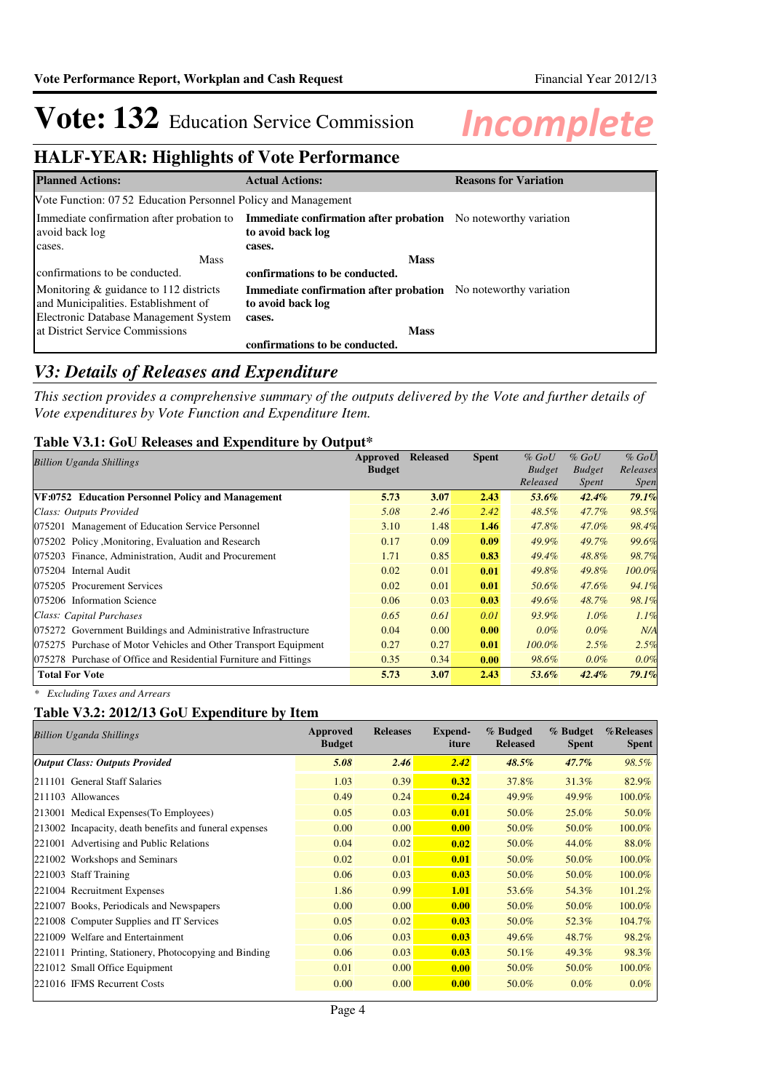## **HALF-YEAR: Highlights of Vote Performance**

| <b>Planned Actions:</b>                                        | <b>Actual Actions:</b>                                                                                                        | <b>Reasons for Variation</b> |
|----------------------------------------------------------------|-------------------------------------------------------------------------------------------------------------------------------|------------------------------|
| Vote Function: 07 52 Education Personnel Policy and Management |                                                                                                                               |                              |
| avoid back log                                                 | Immediate confirmation after probation to Immediate confirmation after probation No noteworthy variation<br>to avoid back log |                              |
| cases.                                                         | cases.                                                                                                                        |                              |
| <b>Mass</b>                                                    | <b>Mass</b>                                                                                                                   |                              |
| confirmations to be conducted.                                 | confirmations to be conducted.                                                                                                |                              |
| Monitoring $\&$ guidance to 112 districts                      | <b>Immediate confirmation after probation</b> No noteworthy variation                                                         |                              |
| and Municipalities. Establishment of                           | to avoid back log                                                                                                             |                              |
| Electronic Database Management System                          | cases.                                                                                                                        |                              |
| at District Service Commissions                                | <b>Mass</b>                                                                                                                   |                              |
|                                                                | confirmations to be conducted.                                                                                                |                              |

### *V3: Details of Releases and Expenditure*

*This section provides a comprehensive summary of the outputs delivered by the Vote and further details of Vote expenditures by Vote Function and Expenditure Item.*

### **Table V3.1: GoU Releases and Expenditure by Output\***

| <b>Billion Uganda Shillings</b>                                  | Approved      | <b>Released</b> | <b>Spent</b> | $%$ GoU       | $%$ GoU       | $%$ GoU     |
|------------------------------------------------------------------|---------------|-----------------|--------------|---------------|---------------|-------------|
|                                                                  | <b>Budget</b> |                 |              | <b>Budget</b> | <b>Budget</b> | Releases    |
|                                                                  |               |                 |              | Released      | Spent         | <i>Spen</i> |
| VF:0752 Education Personnel Policy and Management                | 5.73          | 3.07            | 2.43         | 53.6%         | $42.4\%$      | 79.1%       |
| Class: Outputs Provided                                          | 5.08          | 2.46            | 2.42         | 48.5%         | 47.7%         | 98.5%       |
| 075201 Management of Education Service Personnel                 | 3.10          | 1.48            | 1.46         | 47.8%         | $47.0\%$      | 98.4%       |
| 075202 Policy, Monitoring, Evaluation and Research               | 0.17          | 0.09            | 0.09         | 49.9%         | 49.7%         | 99.6%       |
| 075203 Finance, Administration, Audit and Procurement            | 1.71          | 0.85            | 0.83         | $49.4\%$      | 48.8%         | 98.7%       |
| 075204 Internal Audit                                            | 0.02          | 0.01            | 0.01         | 49.8%         | 49.8%         | 100.0%      |
| 075205 Procurement Services                                      | 0.02          | 0.01            | 0.01         | 50.6%         | 47.6%         | 94.1%       |
| 075206 Information Science                                       | 0.06          | 0.03            | 0.03         | $49.6\%$      | 48.7%         | 98.1%       |
| Class: Capital Purchases                                         | 0.65          | 0.61            | 0.01         | 93.9%         | $1.0\%$       | 1.1%        |
| 075272 Government Buildings and Administrative Infrastructure    | 0.04          | 0.00            | 0.00         | $0.0\%$       | $0.0\%$       | N/A         |
| 075275 Purchase of Motor Vehicles and Other Transport Equipment  | 0.27          | 0.27            | 0.01         | $100.0\%$     | $2.5\%$       | 2.5%        |
| 075278 Purchase of Office and Residential Furniture and Fittings | 0.35          | 0.34            | 0.00         | 98.6%         | $0.0\%$       | 0.0%        |
| <b>Total For Vote</b>                                            | 5.73          | 3.07            | 2.43         | 53.6%         | $42.4\%$      | 79.1%       |

*\* Excluding Taxes and Arrears*

### **Table V3.2: 2012/13 GoU Expenditure by Item**

| <b>Spent</b>                                                                                                                                             |
|----------------------------------------------------------------------------------------------------------------------------------------------------------|
| 98.5%                                                                                                                                                    |
| 82.9%                                                                                                                                                    |
| 100.0%                                                                                                                                                   |
| 50.0%                                                                                                                                                    |
| 100.0%                                                                                                                                                   |
| 88.0%                                                                                                                                                    |
| 100.0%                                                                                                                                                   |
| 100.0%                                                                                                                                                   |
| 101.2%                                                                                                                                                   |
| 100.0%                                                                                                                                                   |
| 104.7%                                                                                                                                                   |
| 98.2%                                                                                                                                                    |
| 98.3%                                                                                                                                                    |
| 100.0%                                                                                                                                                   |
| $0.0\%$                                                                                                                                                  |
| <b>Spent</b><br>$47.7\%$<br>31.3%<br>49.9%<br>25.0%<br>50.0%<br>44.0%<br>50.0%<br>50.0%<br>54.3%<br>50.0%<br>52.3%<br>48.7%<br>49.3%<br>50.0%<br>$0.0\%$ |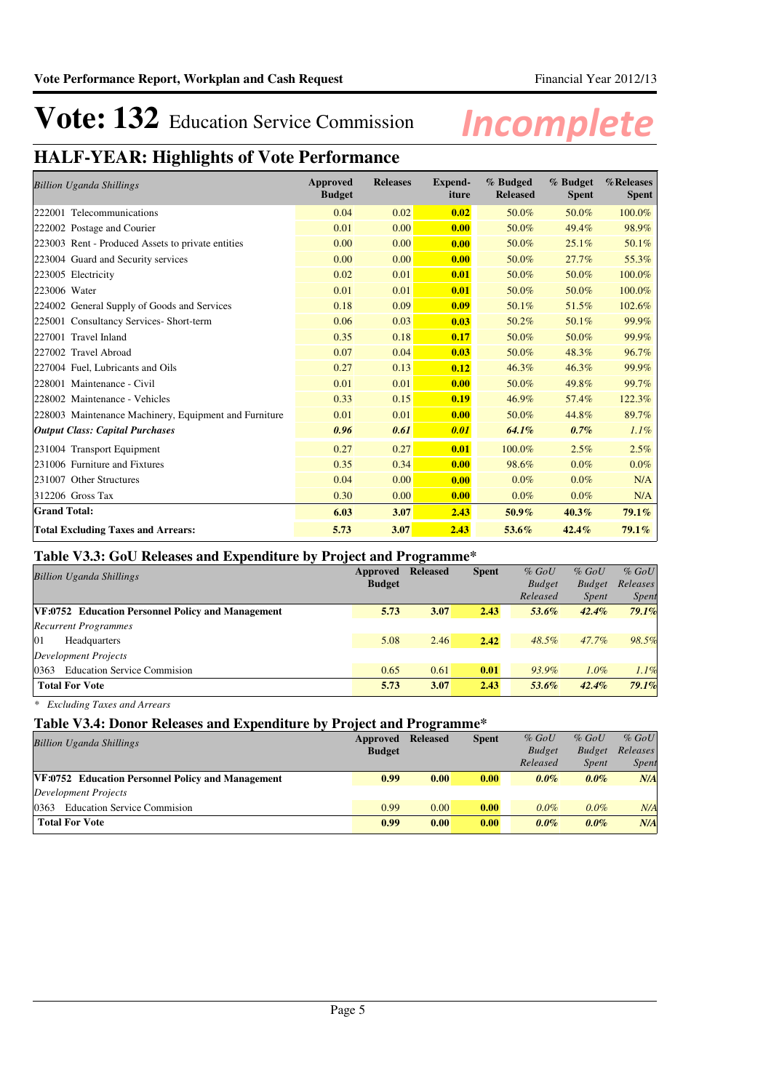## **HALF-YEAR: Highlights of Vote Performance**

| <b>Billion Uganda Shillings</b>                       | Approved<br><b>Budget</b> | <b>Releases</b> | <b>Expend-</b><br>iture | % Budged<br><b>Released</b> | % Budget<br><b>Spent</b> | %Releases<br><b>Spent</b> |
|-------------------------------------------------------|---------------------------|-----------------|-------------------------|-----------------------------|--------------------------|---------------------------|
| 222001 Telecommunications                             | 0.04                      | 0.02            | 0.02                    | 50.0%                       | 50.0%                    | 100.0%                    |
| 222002 Postage and Courier                            | 0.01                      | 0.00            | 0.00                    | 50.0%                       | 49.4%                    | 98.9%                     |
| 223003 Rent - Produced Assets to private entities     | 0.00                      | 0.00            | 0.00                    | 50.0%                       | 25.1%                    | 50.1%                     |
| 223004 Guard and Security services                    | 0.00                      | 0.00            | 0.00                    | 50.0%                       | 27.7%                    | 55.3%                     |
| 223005 Electricity                                    | 0.02                      | 0.01            | 0.01                    | 50.0%                       | 50.0%                    | 100.0%                    |
| 223006 Water                                          | 0.01                      | 0.01            | 0.01                    | 50.0%                       | 50.0%                    | 100.0%                    |
| 224002 General Supply of Goods and Services           | 0.18                      | 0.09            | 0.09                    | 50.1%                       | 51.5%                    | 102.6%                    |
| 225001 Consultancy Services- Short-term               | 0.06                      | 0.03            | 0.03                    | 50.2%                       | 50.1%                    | 99.9%                     |
| 227001 Travel Inland                                  | 0.35                      | 0.18            | 0.17                    | 50.0%                       | 50.0%                    | 99.9%                     |
| 227002 Travel Abroad                                  | 0.07                      | 0.04            | 0.03                    | 50.0%                       | 48.3%                    | 96.7%                     |
| 227004 Fuel, Lubricants and Oils                      | 0.27                      | 0.13            | 0.12                    | 46.3%                       | 46.3%                    | 99.9%                     |
| 228001 Maintenance - Civil                            | 0.01                      | 0.01            | 0.00                    | 50.0%                       | 49.8%                    | 99.7%                     |
| 228002 Maintenance - Vehicles                         | 0.33                      | 0.15            | 0.19                    | 46.9%                       | 57.4%                    | 122.3%                    |
| 228003 Maintenance Machinery, Equipment and Furniture | 0.01                      | 0.01            | 0.00                    | 50.0%                       | 44.8%                    | 89.7%                     |
| <b>Output Class: Capital Purchases</b>                | 0.96                      | 0.61            | 0.01                    | 64.1%                       | 0.7%                     | $1.1\%$                   |
| 231004 Transport Equipment                            | 0.27                      | 0.27            | 0.01                    | 100.0%                      | 2.5%                     | 2.5%                      |
| 231006 Furniture and Fixtures                         | 0.35                      | 0.34            | 0.00                    | 98.6%                       | 0.0%                     | $0.0\%$                   |
| 231007 Other Structures                               | 0.04                      | 0.00            | 0.00                    | 0.0%                        | 0.0%                     | N/A                       |
| 312206 Gross Tax                                      | 0.30                      | 0.00            | 0.00                    | 0.0%                        | $0.0\%$                  | N/A                       |
| <b>Grand Total:</b>                                   | 6.03                      | 3.07            | 2.43                    | $50.9\%$                    | 40.3%                    | $79.1\%$                  |
| <b>Total Excluding Taxes and Arrears:</b>             | 5.73                      | 3.07            | 2.43                    | 53.6%                       | 42.4%                    | $79.1\%$                  |

### **Table V3.3: GoU Releases and Expenditure by Project and Programme\***

| <b>Billion Uganda Shillings</b>                   | Approved      | <b>Released</b> | <b>Spent</b> | $%$ GoU       | $%$ GoU       | $%$ GoU      |
|---------------------------------------------------|---------------|-----------------|--------------|---------------|---------------|--------------|
|                                                   | <b>Budget</b> |                 |              | <b>Budget</b> | <b>Budget</b> | Releases     |
|                                                   |               |                 |              | Released      | <i>Spent</i>  | <i>Spent</i> |
| VF:0752 Education Personnel Policy and Management | 5.73          | 3.07            | 2.43         | 53.6%         | $42.4\%$      | 79.1%        |
| <b>Recurrent Programmes</b>                       |               |                 |              |               |               |              |
| 01<br>Headquarters                                | 5.08          | 2.46            | 2.42         | 48.5%         | 47.7%         | 98.5%        |
| Development Projects                              |               |                 |              |               |               |              |
| <b>Education Service Commission</b><br>0363       | 0.65          | 0.61            | 0.01         | 93.9%         | $1.0\%$       | 1.1%         |
| <b>Total For Vote</b>                             | 5.73          | 3.07            | 2.43         | 53.6%         | $42.4\%$      | 79.1%        |

*\* Excluding Taxes and Arrears*

### **Table V3.4: Donor Releases and Expenditure by Project and Programme\***

| <b>Billion Uganda Shillings</b>                          | Approved      | <b>Released</b> | <b>Spent</b> | $%$ GoU       | $%$ GoU       | $%$ GoU      |
|----------------------------------------------------------|---------------|-----------------|--------------|---------------|---------------|--------------|
|                                                          | <b>Budget</b> |                 |              | <b>Budget</b> | <b>Budget</b> | Releases     |
|                                                          |               |                 |              | Released      | <b>Spent</b>  | <i>Spent</i> |
| <b>VF:0752</b> Education Personnel Policy and Management | 0.99          | 0.00            | 0.00         | $0.0\%$       | $0.0\%$       | N/A          |
| Development Projects                                     |               |                 |              |               |               |              |
| 0363<br><b>Education Service Commission</b>              | 0.99          | 0.00            | 0.00         | 0.0%          | $0.0\%$       | N/A          |
| <b>Total For Vote</b>                                    | 0.99          | 0.00            | 0.00         | $0.0\%$       | $0.0\%$       | N/A          |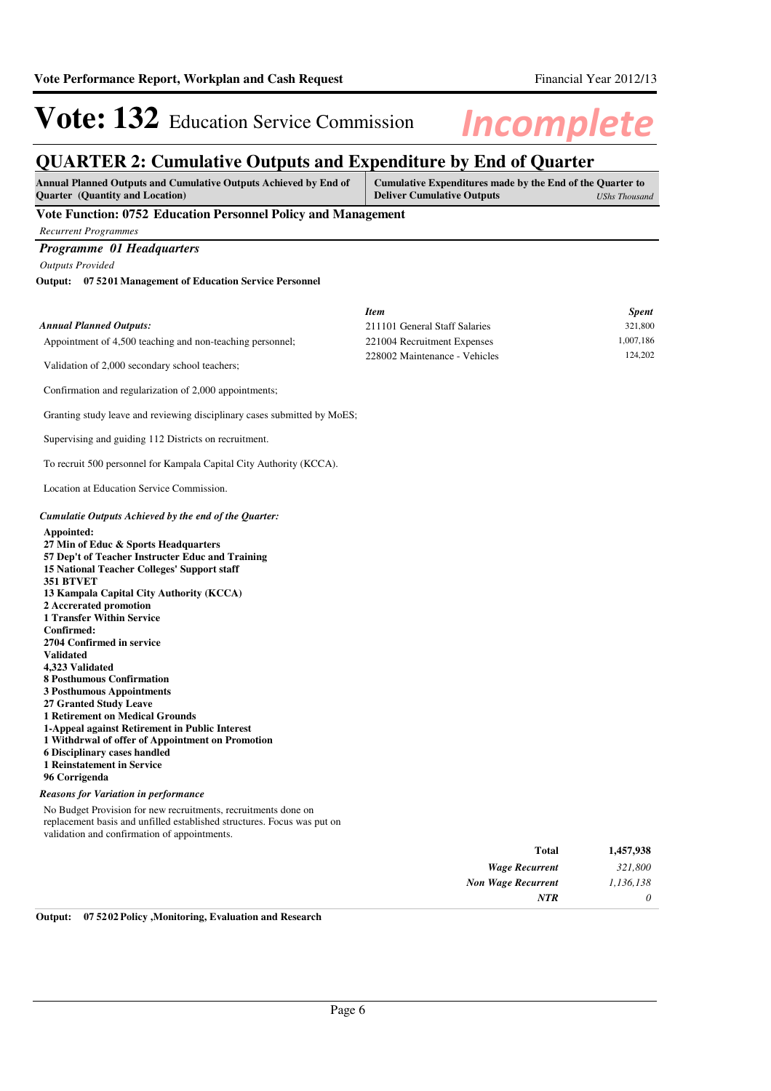*0*

*NTR*

# Vote: 132 Education Service Commission Incomplete

## **QUARTER 2: Cumulative Outputs and Expenditure by End of Quarter**

| Annual Planned Outputs and Cumulative Outputs Achieved by End of<br><b>Quarter</b> (Quantity and Location)                                                                                                                                                                                                                                                                                                                                                                                                                                                                                                                                                                                                                                                                                                              | Cumulative Expenditures made by the End of the Quarter to<br><b>Deliver Cumulative Outputs</b><br><b>UShs Thousand</b> |                         |  |  |
|-------------------------------------------------------------------------------------------------------------------------------------------------------------------------------------------------------------------------------------------------------------------------------------------------------------------------------------------------------------------------------------------------------------------------------------------------------------------------------------------------------------------------------------------------------------------------------------------------------------------------------------------------------------------------------------------------------------------------------------------------------------------------------------------------------------------------|------------------------------------------------------------------------------------------------------------------------|-------------------------|--|--|
| Vote Function: 0752 Education Personnel Policy and Management                                                                                                                                                                                                                                                                                                                                                                                                                                                                                                                                                                                                                                                                                                                                                           |                                                                                                                        |                         |  |  |
| <b>Recurrent Programmes</b>                                                                                                                                                                                                                                                                                                                                                                                                                                                                                                                                                                                                                                                                                                                                                                                             |                                                                                                                        |                         |  |  |
| Programme 01 Headquarters                                                                                                                                                                                                                                                                                                                                                                                                                                                                                                                                                                                                                                                                                                                                                                                               |                                                                                                                        |                         |  |  |
| <b>Outputs Provided</b>                                                                                                                                                                                                                                                                                                                                                                                                                                                                                                                                                                                                                                                                                                                                                                                                 |                                                                                                                        |                         |  |  |
| Output: 07 5201 Management of Education Service Personnel                                                                                                                                                                                                                                                                                                                                                                                                                                                                                                                                                                                                                                                                                                                                                               |                                                                                                                        |                         |  |  |
|                                                                                                                                                                                                                                                                                                                                                                                                                                                                                                                                                                                                                                                                                                                                                                                                                         |                                                                                                                        |                         |  |  |
| <b>Annual Planned Outputs:</b>                                                                                                                                                                                                                                                                                                                                                                                                                                                                                                                                                                                                                                                                                                                                                                                          | <b>Item</b><br>211101 General Staff Salaries                                                                           | <b>Spent</b><br>321,800 |  |  |
| Appointment of 4,500 teaching and non-teaching personnel;                                                                                                                                                                                                                                                                                                                                                                                                                                                                                                                                                                                                                                                                                                                                                               | 221004 Recruitment Expenses                                                                                            | 1,007,186               |  |  |
|                                                                                                                                                                                                                                                                                                                                                                                                                                                                                                                                                                                                                                                                                                                                                                                                                         | 228002 Maintenance - Vehicles                                                                                          | 124,202                 |  |  |
| Validation of 2,000 secondary school teachers;                                                                                                                                                                                                                                                                                                                                                                                                                                                                                                                                                                                                                                                                                                                                                                          |                                                                                                                        |                         |  |  |
| Confirmation and regularization of 2,000 appointments;                                                                                                                                                                                                                                                                                                                                                                                                                                                                                                                                                                                                                                                                                                                                                                  |                                                                                                                        |                         |  |  |
| Granting study leave and reviewing disciplinary cases submitted by MoES;                                                                                                                                                                                                                                                                                                                                                                                                                                                                                                                                                                                                                                                                                                                                                |                                                                                                                        |                         |  |  |
| Supervising and guiding 112 Districts on recruitment.                                                                                                                                                                                                                                                                                                                                                                                                                                                                                                                                                                                                                                                                                                                                                                   |                                                                                                                        |                         |  |  |
| To recruit 500 personnel for Kampala Capital City Authority (KCCA).                                                                                                                                                                                                                                                                                                                                                                                                                                                                                                                                                                                                                                                                                                                                                     |                                                                                                                        |                         |  |  |
| Location at Education Service Commission.                                                                                                                                                                                                                                                                                                                                                                                                                                                                                                                                                                                                                                                                                                                                                                               |                                                                                                                        |                         |  |  |
| Cumulatie Outputs Achieved by the end of the Quarter:                                                                                                                                                                                                                                                                                                                                                                                                                                                                                                                                                                                                                                                                                                                                                                   |                                                                                                                        |                         |  |  |
| Appointed:<br>27 Min of Educ & Sports Headquarters<br>57 Dep't of Teacher Instructer Educ and Training<br>15 National Teacher Colleges' Support staff<br>351 BTVET<br>13 Kampala Capital City Authority (KCCA)<br>2 Accrerated promotion<br><b>1 Transfer Within Service</b><br>Confirmed:<br>2704 Confirmed in service<br><b>Validated</b><br>4.323 Validated<br>8 Posthumous Confirmation<br><b>3 Posthumous Appointments</b><br><b>27 Granted Study Leave</b><br><b>1 Retirement on Medical Grounds</b><br>1-Appeal against Retirement in Public Interest<br>1 Withdrwal of offer of Appointment on Promotion<br>6 Disciplinary cases handled<br><b>1 Reinstatement in Service</b><br>96 Corrigenda<br><b>Reasons for Variation in performance</b><br>No Budget Provision for new recruitments, recruitments done on |                                                                                                                        |                         |  |  |
| replacement basis and unfilled established structures. Focus was put on<br>validation and confirmation of appointments.                                                                                                                                                                                                                                                                                                                                                                                                                                                                                                                                                                                                                                                                                                 |                                                                                                                        |                         |  |  |
|                                                                                                                                                                                                                                                                                                                                                                                                                                                                                                                                                                                                                                                                                                                                                                                                                         | <b>Total</b>                                                                                                           | 1,457,938               |  |  |
|                                                                                                                                                                                                                                                                                                                                                                                                                                                                                                                                                                                                                                                                                                                                                                                                                         | <b>Wage Recurrent</b>                                                                                                  | 321,800                 |  |  |
|                                                                                                                                                                                                                                                                                                                                                                                                                                                                                                                                                                                                                                                                                                                                                                                                                         | <b>Non Wage Recurrent</b>                                                                                              | 1,136,138               |  |  |

**Output: 07 5202 Policy ,Monitoring, Evaluation and Research**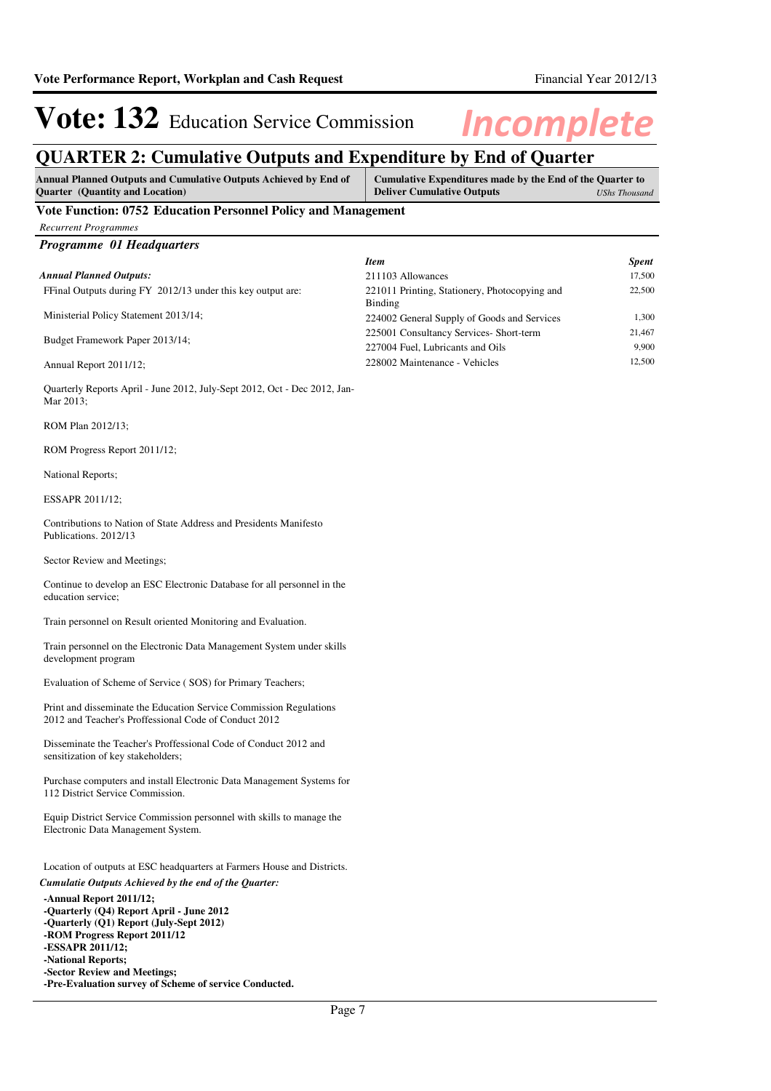*Recurrent Programmes*

# Vote: 132 Education Service Commission Incomplete

## **QUARTER 2: Cumulative Outputs and Expenditure by End of Quarter**

| Annual Planned Outputs and Cumulative Outputs Achieved by End of | Cumulative Expenditures made by the End of the Quarter to |  |
|------------------------------------------------------------------|-----------------------------------------------------------|--|
| <b>Ouarter</b> (Quantity and Location)                           | <b>Deliver Cumulative Outputs</b><br>UShs Thousand        |  |
| Vete Function: 0752 Education Dersennel Delicy and Management    |                                                           |  |

#### **Vote Function: 0752 Education Personnel Policy and Management**

| Programme 01 Headquarters                                                                                                                                                                                                |                                                                             |                 |
|--------------------------------------------------------------------------------------------------------------------------------------------------------------------------------------------------------------------------|-----------------------------------------------------------------------------|-----------------|
|                                                                                                                                                                                                                          | <b>Item</b>                                                                 | <b>Spent</b>    |
| <b>Annual Planned Outputs:</b>                                                                                                                                                                                           | 211103 Allowances                                                           | 17,500          |
| FFinal Outputs during FY 2012/13 under this key output are:                                                                                                                                                              | 221011 Printing, Stationery, Photocopying and<br><b>Binding</b>             | 22,500          |
| Ministerial Policy Statement 2013/14;                                                                                                                                                                                    | 224002 General Supply of Goods and Services                                 | 1,300           |
| Budget Framework Paper 2013/14;                                                                                                                                                                                          | 225001 Consultancy Services- Short-term<br>227004 Fuel, Lubricants and Oils | 21,467<br>9,900 |
| Annual Report 2011/12;                                                                                                                                                                                                   | 228002 Maintenance - Vehicles                                               | 12,500          |
| Quarterly Reports April - June 2012, July-Sept 2012, Oct - Dec 2012, Jan-<br>Mar 2013;                                                                                                                                   |                                                                             |                 |
| ROM Plan 2012/13;                                                                                                                                                                                                        |                                                                             |                 |
| ROM Progress Report 2011/12;                                                                                                                                                                                             |                                                                             |                 |
| National Reports;                                                                                                                                                                                                        |                                                                             |                 |
| ESSAPR 2011/12;                                                                                                                                                                                                          |                                                                             |                 |
| Contributions to Nation of State Address and Presidents Manifesto<br>Publications. 2012/13                                                                                                                               |                                                                             |                 |
| Sector Review and Meetings;                                                                                                                                                                                              |                                                                             |                 |
| Continue to develop an ESC Electronic Database for all personnel in the<br>education service;                                                                                                                            |                                                                             |                 |
| Train personnel on Result oriented Monitoring and Evaluation.                                                                                                                                                            |                                                                             |                 |
| Train personnel on the Electronic Data Management System under skills<br>development program                                                                                                                             |                                                                             |                 |
| Evaluation of Scheme of Service (SOS) for Primary Teachers;                                                                                                                                                              |                                                                             |                 |
| Print and disseminate the Education Service Commission Regulations<br>2012 and Teacher's Proffessional Code of Conduct 2012                                                                                              |                                                                             |                 |
| Disseminate the Teacher's Proffessional Code of Conduct 2012 and<br>sensitization of key stakeholders;                                                                                                                   |                                                                             |                 |
| Purchase computers and install Electronic Data Management Systems for<br>112 District Service Commission.                                                                                                                |                                                                             |                 |
| Equip District Service Commission personnel with skills to manage the<br>Electronic Data Management System.                                                                                                              |                                                                             |                 |
| Location of outputs at ESC headquarters at Farmers House and Districts.                                                                                                                                                  |                                                                             |                 |
| Cumulatie Outputs Achieved by the end of the Quarter:                                                                                                                                                                    |                                                                             |                 |
| -Annual Report 2011/12;<br>-Ouarterly (O4) Report April - June 2012<br>-Ouarterly (O1) Report (July-Sept 2012)<br>-ROM Progress Report 2011/12<br>-ESSAPR 2011/12;<br>-National Reports;<br>-Sector Review and Meetings; |                                                                             |                 |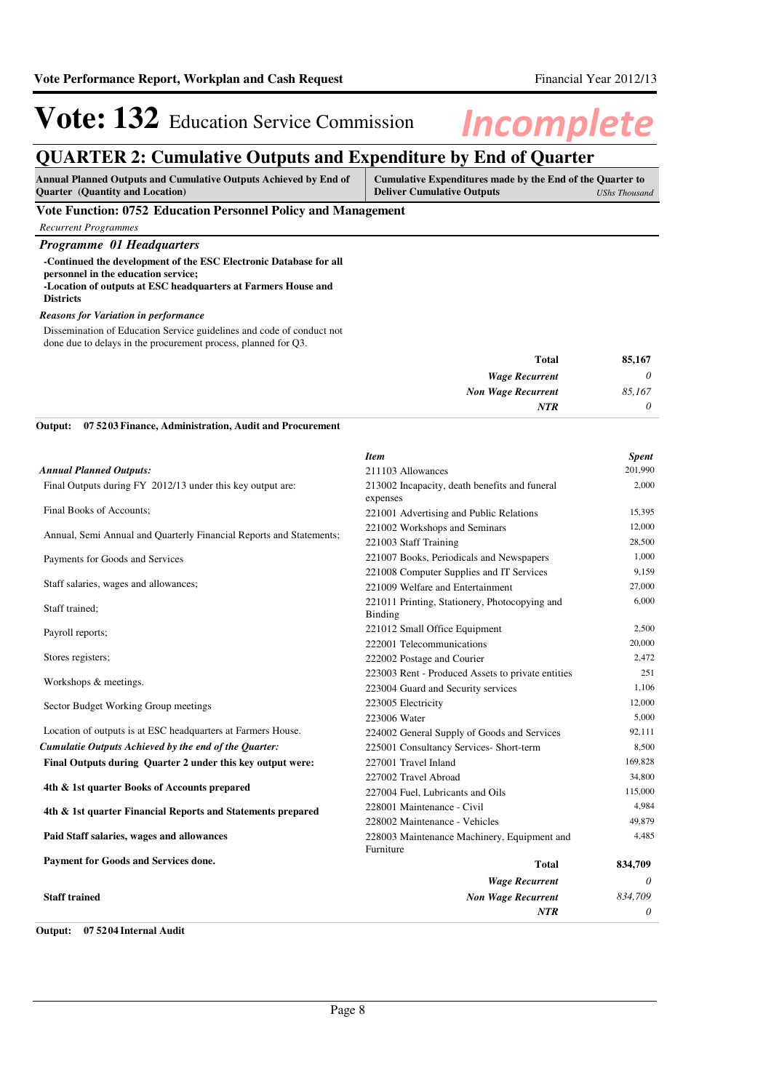## **QUARTER 2: Cumulative Outputs and Expenditure by End of Quarter**

| <b>Annual Planned Outputs and Cumulative Outputs Achieved by End of</b> | Cumulative Expenditures made by the End of the Quarter to |               |
|-------------------------------------------------------------------------|-----------------------------------------------------------|---------------|
| <b>Ouarter</b> (Quantity and Location)                                  | <b>Deliver Cumulative Outputs</b>                         | UShs Thousand |
| the property of the control of                                          |                                                           |               |

#### **Vote Function: 0752 Education Personnel Policy and Management**

#### *Programme 01 Headquarters* **-Continued the development of the ESC Electronic Database for all personnel in the education service; -Location of outputs at ESC headquarters at Farmers House and Districts**

#### *Reasons for Variation in performance*

Dissemination of Education Service guidelines and code of conduct not done due to delays in the procurement process, planned for Q3.

| 85,167   | <b>Total</b>              |
|----------|---------------------------|
| 0        | <b>Wage Recurrent</b>     |
| 85,167   | <b>Non Wage Recurrent</b> |
| $\theta$ | <b>NTR</b>                |
|          |                           |

#### **07 5203 Finance, Administration, Audit and Procurement Output:**

| <b>Item</b>                                              | <b>Spent</b>              |
|----------------------------------------------------------|---------------------------|
| 211103 Allowances                                        | 201,990                   |
| 213002 Incapacity, death benefits and funeral            | 2,000                     |
| expenses                                                 |                           |
| 221001 Advertising and Public Relations                  | 15,395                    |
| 221002 Workshops and Seminars                            | 12,000                    |
| 221003 Staff Training                                    | 28,500                    |
| 221007 Books, Periodicals and Newspapers                 | 1,000                     |
| 221008 Computer Supplies and IT Services                 | 9,159                     |
| 221009 Welfare and Entertainment                         | 27,000                    |
| 221011 Printing, Stationery, Photocopying and<br>Binding | 6,000                     |
| 221012 Small Office Equipment                            | 2,500                     |
| 222001 Telecommunications                                | 20,000                    |
| 222002 Postage and Courier                               | 2,472                     |
| 223003 Rent - Produced Assets to private entities        | 251                       |
| 223004 Guard and Security services                       | 1,106                     |
| 223005 Electricity                                       | 12,000                    |
| 223006 Water                                             | 5,000                     |
| 224002 General Supply of Goods and Services              | 92,111                    |
| 225001 Consultancy Services- Short-term                  | 8,500                     |
| 227001 Travel Inland                                     | 169,828                   |
| 227002 Travel Abroad                                     | 34,800                    |
| 227004 Fuel, Lubricants and Oils                         | 115,000                   |
| 228001 Maintenance - Civil                               | 4,984                     |
| 228002 Maintenance - Vehicles                            | 49,879                    |
| 228003 Maintenance Machinery, Equipment and<br>Furniture | 4,485                     |
| <b>Total</b>                                             | 834,709                   |
| <b>Wage Recurrent</b>                                    | $\theta$                  |
|                                                          | 834,709                   |
| NTR                                                      | 0                         |
|                                                          | <b>Non Wage Recurrent</b> |

**Output: 07 5204 Internal Audit**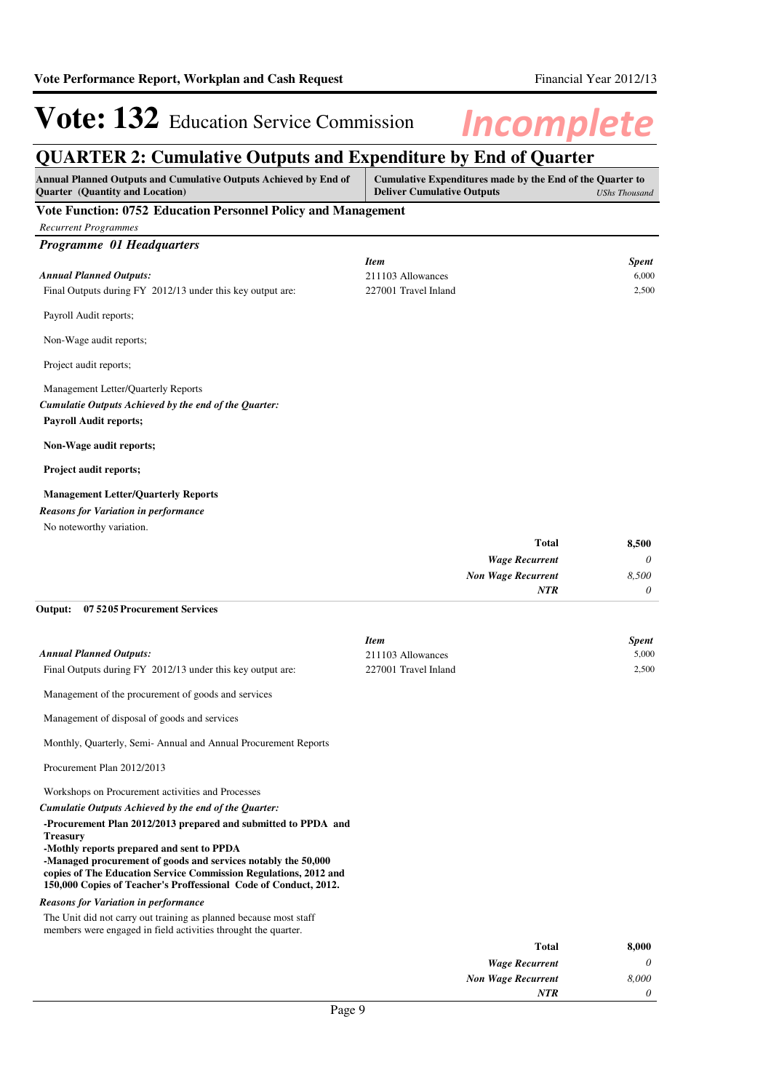*0*

*NTR*

# Vote: 132 Education Service Commission Incomplete

## **QUARTER 2: Cumulative Outputs and Expenditure by End of Quarter**

| Annual Planned Outputs and Cumulative Outputs Achieved by End of<br><b>Quarter</b> (Quantity and Location)      | <b>Deliver Cumulative Outputs</b> | Cumulative Expenditures made by the End of the Quarter to | <b>UShs Thousand</b> |
|-----------------------------------------------------------------------------------------------------------------|-----------------------------------|-----------------------------------------------------------|----------------------|
| Vote Function: 0752 Education Personnel Policy and Management                                                   |                                   |                                                           |                      |
| <b>Recurrent Programmes</b>                                                                                     |                                   |                                                           |                      |
| Programme 01 Headquarters                                                                                       |                                   |                                                           |                      |
|                                                                                                                 | <b>Item</b>                       |                                                           | <b>Spent</b>         |
| <b>Annual Planned Outputs:</b>                                                                                  | 211103 Allowances                 |                                                           | 6,000                |
| Final Outputs during FY 2012/13 under this key output are:                                                      | 227001 Travel Inland              |                                                           | 2,500                |
| Payroll Audit reports;                                                                                          |                                   |                                                           |                      |
| Non-Wage audit reports;                                                                                         |                                   |                                                           |                      |
| Project audit reports;                                                                                          |                                   |                                                           |                      |
| Management Letter/Quarterly Reports                                                                             |                                   |                                                           |                      |
| Cumulatie Outputs Achieved by the end of the Quarter:                                                           |                                   |                                                           |                      |
| <b>Payroll Audit reports;</b>                                                                                   |                                   |                                                           |                      |
| Non-Wage audit reports;                                                                                         |                                   |                                                           |                      |
| <b>Project audit reports;</b>                                                                                   |                                   |                                                           |                      |
| <b>Management Letter/Quarterly Reports</b>                                                                      |                                   |                                                           |                      |
| <b>Reasons for Variation in performance</b>                                                                     |                                   |                                                           |                      |
| No noteworthy variation.                                                                                        |                                   |                                                           |                      |
|                                                                                                                 |                                   | <b>Total</b>                                              | 8,500                |
|                                                                                                                 |                                   | <b>Wage Recurrent</b>                                     | 0                    |
|                                                                                                                 |                                   | <b>Non Wage Recurrent</b>                                 | 8,500                |
|                                                                                                                 |                                   | NTR                                                       | 0                    |
| Output:<br>07 52 05 Procurement Services                                                                        |                                   |                                                           |                      |
|                                                                                                                 | <b>Item</b>                       |                                                           | Spent                |
| <b>Annual Planned Outputs:</b>                                                                                  | 211103 Allowances                 |                                                           | 5,000                |
| Final Outputs during FY 2012/13 under this key output are:                                                      | 227001 Travel Inland              |                                                           | 2,500                |
| Management of the procurement of goods and services                                                             |                                   |                                                           |                      |
| Management of disposal of goods and services                                                                    |                                   |                                                           |                      |
| Monthly, Quarterly, Semi-Annual and Annual Procurement Reports                                                  |                                   |                                                           |                      |
| Procurement Plan 2012/2013                                                                                      |                                   |                                                           |                      |
| Workshops on Procurement activities and Processes                                                               |                                   |                                                           |                      |
| Cumulatie Outputs Achieved by the end of the Quarter:                                                           |                                   |                                                           |                      |
| -Procurement Plan 2012/2013 prepared and submitted to PPDA and                                                  |                                   |                                                           |                      |
| <b>Treasury</b><br>-Mothly reports prepared and sent to PPDA                                                    |                                   |                                                           |                      |
| -Managed procurement of goods and services notably the 50,000                                                   |                                   |                                                           |                      |
| copies of The Education Service Commission Regulations, 2012 and                                                |                                   |                                                           |                      |
| 150,000 Copies of Teacher's Proffessional Code of Conduct, 2012.<br><b>Reasons for Variation in performance</b> |                                   |                                                           |                      |
| The Unit did not carry out training as planned because most staff                                               |                                   |                                                           |                      |
| members were engaged in field activities throught the quarter.                                                  |                                   |                                                           |                      |
|                                                                                                                 |                                   | <b>Total</b>                                              | 8,000                |
|                                                                                                                 |                                   | <b>Wage Recurrent</b>                                     | 0                    |
|                                                                                                                 |                                   | <b>Non Wage Recurrent</b>                                 | 8,000                |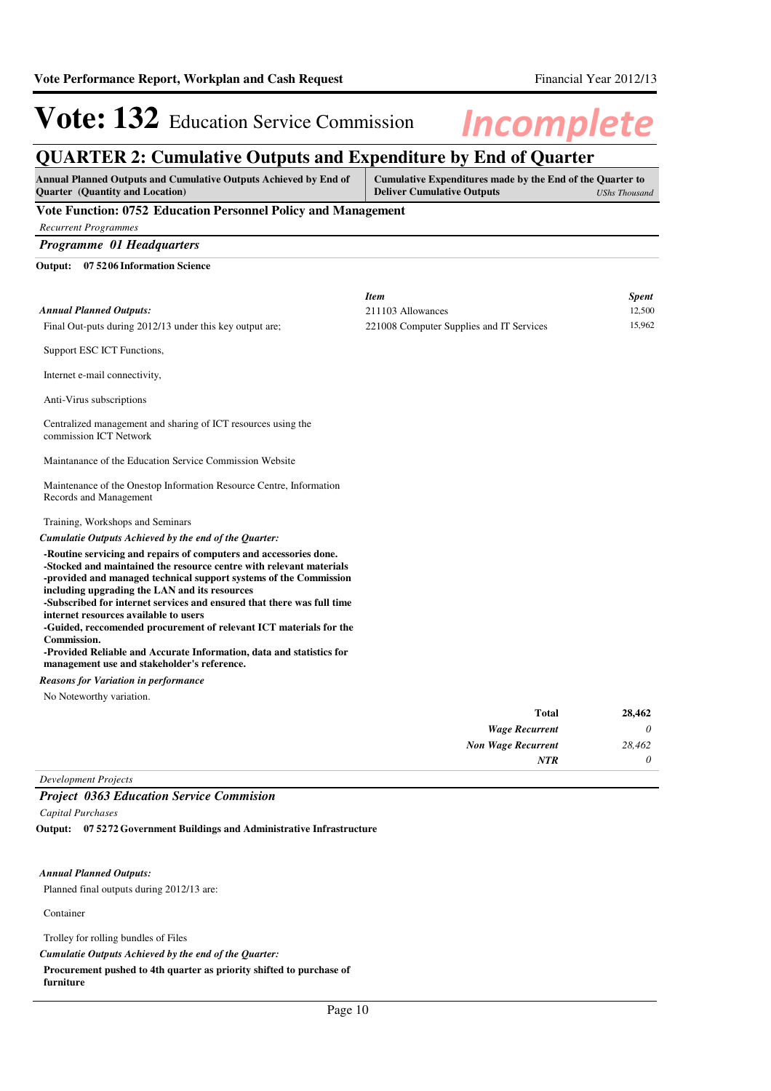### **QUARTER 2: Cumulative Outputs and Expenditure by End of Quarter**

| <b>Annual Planned Outputs and Cumulative Outputs Achieved by End of</b><br><b>Quarter</b> (Quantity and Location)                                                                                                                                                                                                                                                                                                                                                                                                                                                                                    | Cumulative Expenditures made by the End of the Quarter to<br><b>Deliver Cumulative Outputs</b><br><b>UShs Thousand</b> |        |
|------------------------------------------------------------------------------------------------------------------------------------------------------------------------------------------------------------------------------------------------------------------------------------------------------------------------------------------------------------------------------------------------------------------------------------------------------------------------------------------------------------------------------------------------------------------------------------------------------|------------------------------------------------------------------------------------------------------------------------|--------|
| Vote Function: 0752 Education Personnel Policy and Management                                                                                                                                                                                                                                                                                                                                                                                                                                                                                                                                        |                                                                                                                        |        |
| <b>Recurrent Programmes</b>                                                                                                                                                                                                                                                                                                                                                                                                                                                                                                                                                                          |                                                                                                                        |        |
| Programme 01 Headquarters                                                                                                                                                                                                                                                                                                                                                                                                                                                                                                                                                                            |                                                                                                                        |        |
| Output: 07 5206 Information Science                                                                                                                                                                                                                                                                                                                                                                                                                                                                                                                                                                  |                                                                                                                        |        |
|                                                                                                                                                                                                                                                                                                                                                                                                                                                                                                                                                                                                      | <b>Item</b>                                                                                                            | Spent  |
| <b>Annual Planned Outputs:</b>                                                                                                                                                                                                                                                                                                                                                                                                                                                                                                                                                                       | 211103 Allowances                                                                                                      | 12,500 |
| Final Out-puts during 2012/13 under this key output are;                                                                                                                                                                                                                                                                                                                                                                                                                                                                                                                                             | 221008 Computer Supplies and IT Services                                                                               | 15,962 |
| Support ESC ICT Functions,                                                                                                                                                                                                                                                                                                                                                                                                                                                                                                                                                                           |                                                                                                                        |        |
| Internet e-mail connectivity,                                                                                                                                                                                                                                                                                                                                                                                                                                                                                                                                                                        |                                                                                                                        |        |
| Anti-Virus subscriptions                                                                                                                                                                                                                                                                                                                                                                                                                                                                                                                                                                             |                                                                                                                        |        |
| Centralized management and sharing of ICT resources using the<br>commission ICT Network                                                                                                                                                                                                                                                                                                                                                                                                                                                                                                              |                                                                                                                        |        |
| Maintanance of the Education Service Commission Website                                                                                                                                                                                                                                                                                                                                                                                                                                                                                                                                              |                                                                                                                        |        |
| Maintenance of the Onestop Information Resource Centre, Information<br>Records and Management                                                                                                                                                                                                                                                                                                                                                                                                                                                                                                        |                                                                                                                        |        |
| Training, Workshops and Seminars                                                                                                                                                                                                                                                                                                                                                                                                                                                                                                                                                                     |                                                                                                                        |        |
| Cumulatie Outputs Achieved by the end of the Quarter:                                                                                                                                                                                                                                                                                                                                                                                                                                                                                                                                                |                                                                                                                        |        |
| -Routine servicing and repairs of computers and accessories done.<br>-Stocked and maintained the resource centre with relevant materials<br>-provided and managed technical support systems of the Commission<br>including upgrading the LAN and its resources<br>-Subscribed for internet services and ensured that there was full time<br>internet resources available to users<br>-Guided, reccomended procurement of relevant ICT materials for the<br><b>Commission.</b><br>-Provided Reliable and Accurate Information, data and statistics for<br>management use and stakeholder's reference. |                                                                                                                        |        |
| <b>Reasons for Variation in performance</b>                                                                                                                                                                                                                                                                                                                                                                                                                                                                                                                                                          |                                                                                                                        |        |
| No Noteworthy variation.                                                                                                                                                                                                                                                                                                                                                                                                                                                                                                                                                                             |                                                                                                                        |        |
|                                                                                                                                                                                                                                                                                                                                                                                                                                                                                                                                                                                                      | <b>Total</b>                                                                                                           | 28,462 |
|                                                                                                                                                                                                                                                                                                                                                                                                                                                                                                                                                                                                      | <b>Wage Recurrent</b>                                                                                                  | 0      |
|                                                                                                                                                                                                                                                                                                                                                                                                                                                                                                                                                                                                      | Non Wage Recurrent                                                                                                     | 28,462 |
|                                                                                                                                                                                                                                                                                                                                                                                                                                                                                                                                                                                                      | NTR                                                                                                                    | 0      |

*Development Projects*

#### *Project 0363 Education Service Commision*

*Capital Purchases*

**07 5272 Government Buildings and Administrative Infrastructure Output:**

#### *Annual Planned Outputs:*

Planned final outputs during 2012/13 are:

Container

Trolley for rolling bundles of Files

*Cumulatie Outputs Achieved by the end of the Quarter:*

**Procurement pushed to 4th quarter as priority shifted to purchase of**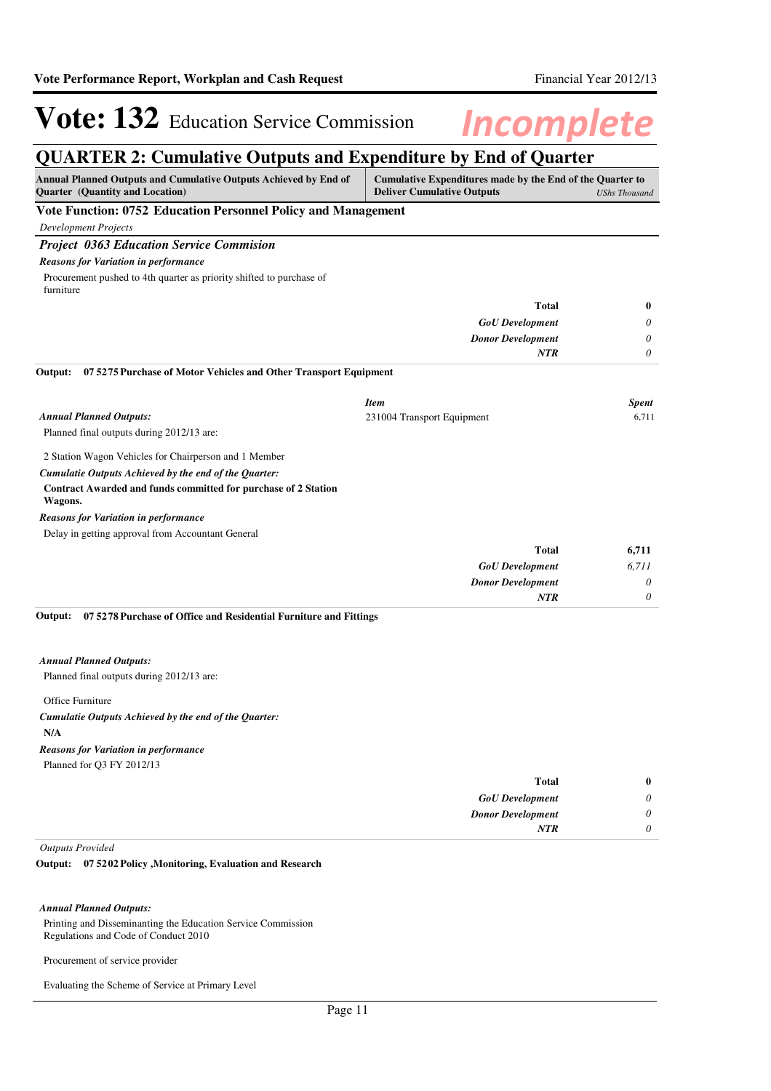## **QUARTER 2: Cumulative Outputs and Expenditure by End of Quarter**

| <b>Annual Planned Outputs and Cumulative Outputs Achieved by End of</b><br><b>Quarter</b> (Quantity and Location) | Cumulative Expenditures made by the End of the Quarter to<br><b>Deliver Cumulative Outputs</b> | <b>UShs Thousand</b> |
|-------------------------------------------------------------------------------------------------------------------|------------------------------------------------------------------------------------------------|----------------------|
| Vote Function: 0752 Education Personnel Policy and Management                                                     |                                                                                                |                      |
| <b>Development Projects</b>                                                                                       |                                                                                                |                      |
| <b>Project 0363 Education Service Commision</b>                                                                   |                                                                                                |                      |
| <b>Reasons for Variation in performance</b>                                                                       |                                                                                                |                      |
| Procurement pushed to 4th quarter as priority shifted to purchase of<br>furniture                                 |                                                                                                |                      |
|                                                                                                                   | <b>Total</b>                                                                                   | 0                    |
|                                                                                                                   | <b>GoU</b> Development                                                                         | 0                    |
|                                                                                                                   | <b>Donor Development</b>                                                                       | 0                    |
|                                                                                                                   | <b>NTR</b>                                                                                     | 0                    |
| 075275 Purchase of Motor Vehicles and Other Transport Equipment<br>Output:                                        |                                                                                                |                      |
|                                                                                                                   | <b>Item</b>                                                                                    | <b>Spent</b>         |
| <b>Annual Planned Outputs:</b>                                                                                    | 231004 Transport Equipment                                                                     | 6,711                |
| Planned final outputs during 2012/13 are:                                                                         |                                                                                                |                      |
| 2 Station Wagon Vehicles for Chairperson and 1 Member                                                             |                                                                                                |                      |
| Cumulatie Outputs Achieved by the end of the Quarter:                                                             |                                                                                                |                      |
| Contract Awarded and funds committed for purchase of 2 Station<br>Wagons.                                         |                                                                                                |                      |
| <b>Reasons for Variation in performance</b>                                                                       |                                                                                                |                      |
| Delay in getting approval from Accountant General                                                                 |                                                                                                |                      |
|                                                                                                                   | <b>Total</b>                                                                                   | 6,711                |
|                                                                                                                   | <b>GoU</b> Development                                                                         | 6,711                |
|                                                                                                                   | <b>Donor Development</b>                                                                       | 0                    |
|                                                                                                                   | NTR                                                                                            | $\theta$             |

#### *Annual Planned Outputs:*

Planned final outputs during 2012/13 are:

Office Furniture

### **N/A** *Cumulatie Outputs Achieved by the end of the Quarter: Reasons for Variation in performance*

Planned for Q3 FY 2012/13

| $\bf{0}$              | Total                    |
|-----------------------|--------------------------|
| $\boldsymbol{\omega}$ | <b>GoU</b> Development   |
| 0                     | <b>Donor Development</b> |
| 0                     | <b>NTR</b>               |
|                       |                          |

#### *Outputs Provided*

#### **07 5202 Policy ,Monitoring, Evaluation and Research Output:**

#### *Annual Planned Outputs:*

Printing and Disseminanting the Education Service Commission Regulations and Code of Conduct 2010

Procurement of service provider

Evaluating the Scheme of Service at Primary Level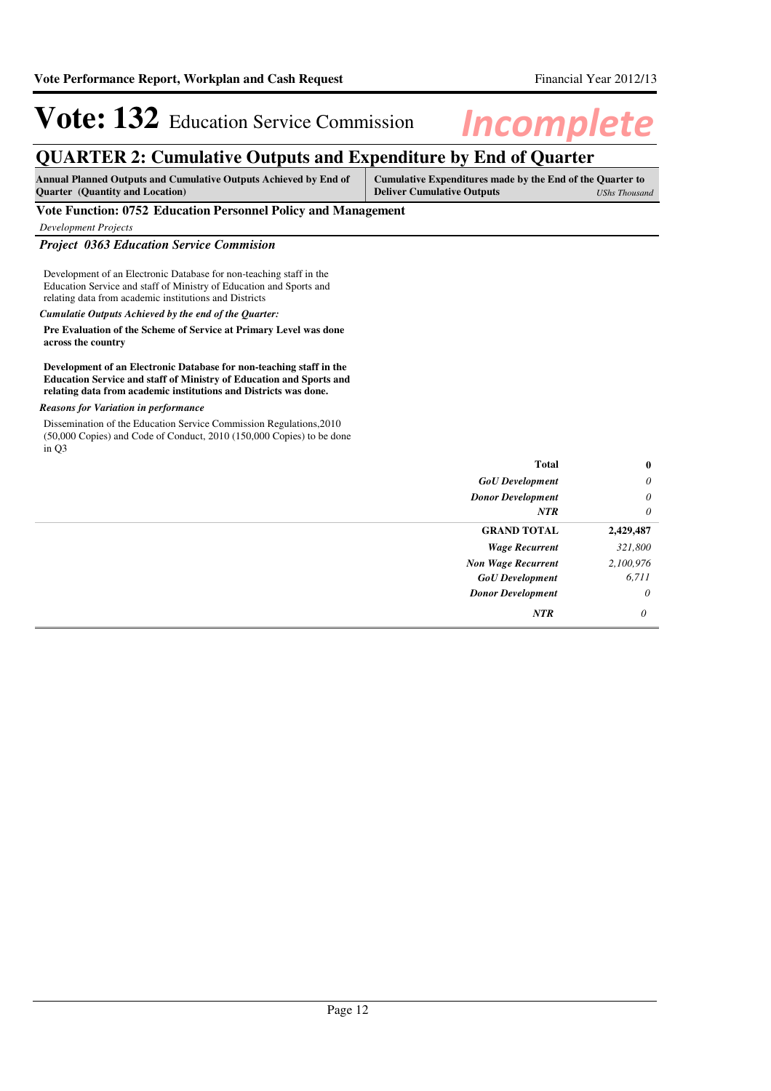## **QUARTER 2: Cumulative Outputs and Expenditure by End of Quarter**

| <b>Annual Planned Outputs and Cumulative Outputs Achieved by End of</b> | Cumulative Expenditures made by the End of the Ouarter to |               |
|-------------------------------------------------------------------------|-----------------------------------------------------------|---------------|
| <b>Quarter</b> (Quantity and Location)                                  | <b>Deliver Cumulative Outputs</b>                         | UShs Thousand |

#### **Vote Function: 0752 Education Personnel Policy and Management**

*Development Projects*

#### *Project 0363 Education Service Commision*

Development of an Electronic Database for non-teaching staff in the Education Service and staff of Ministry of Education and Sports and relating data from academic institutions and Districts

#### *Cumulatie Outputs Achieved by the end of the Quarter:*

**Pre Evaluation of the Scheme of Service at Primary Level was done across the country**

#### **Development of an Electronic Database for non-teaching staff in the Education Service and staff of Ministry of Education and Sports and relating data from academic institutions and Districts was done.**

#### *Reasons for Variation in performance*

Dissemination of the Education Service Commission Regulations,2010 (50,000 Copies) and Code of Conduct, 2010 (150,000 Copies) to be done in Q3

| <b>Total</b>              | $\bf{0}$  |
|---------------------------|-----------|
| <b>GoU</b> Development    | $\theta$  |
| <b>Donor Development</b>  | $\theta$  |
| <b>NTR</b>                | $\theta$  |
| <b>GRAND TOTAL</b>        | 2,429,487 |
| <b>Wage Recurrent</b>     | 321,800   |
| <b>Non Wage Recurrent</b> | 2,100,976 |
| <b>GoU</b> Development    | 6,711     |
| <b>Donor Development</b>  | $\theta$  |
| NTR                       | $\theta$  |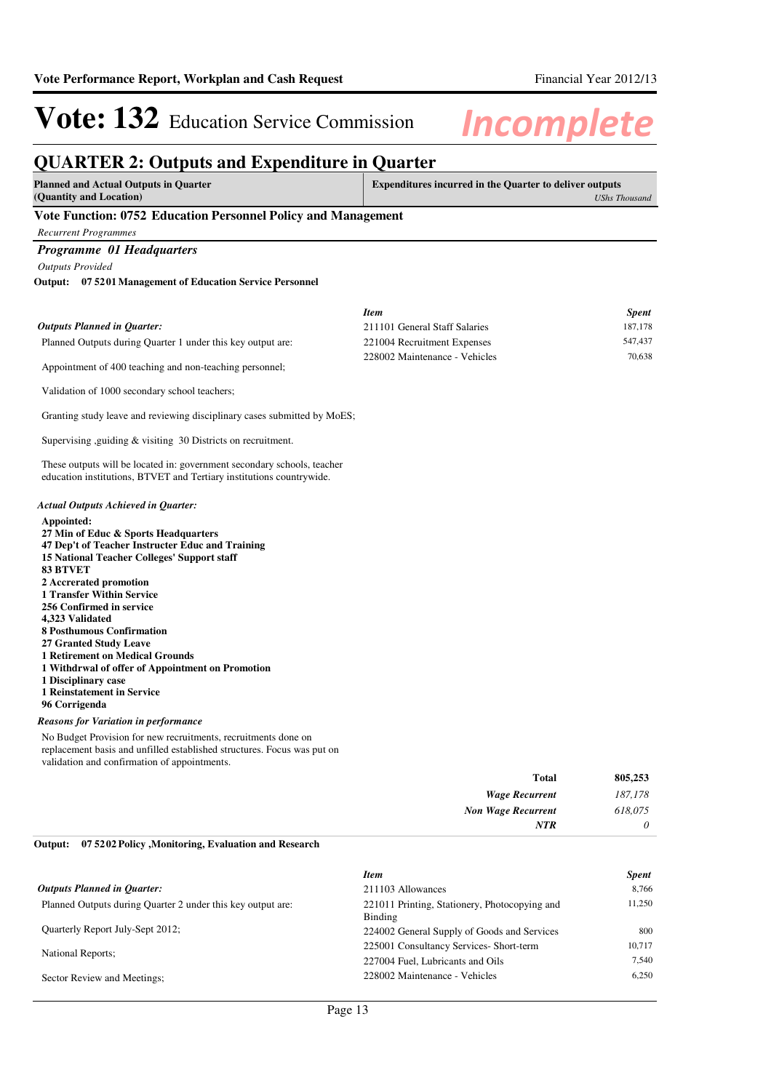*187,178 618,075 0*

# Vote: 132 Education Service Commission Incomplete

## **QUARTER 2: Outputs and Expenditure in Quarter**

| QUARTER 2: Outputs and Expenditure in Quarter                                                                                                                                                                                                                                                                                                                                                     |                                                                |              |                      |
|---------------------------------------------------------------------------------------------------------------------------------------------------------------------------------------------------------------------------------------------------------------------------------------------------------------------------------------------------------------------------------------------------|----------------------------------------------------------------|--------------|----------------------|
| <b>Planned and Actual Outputs in Quarter</b><br>(Quantity and Location)                                                                                                                                                                                                                                                                                                                           | <b>Expenditures incurred in the Quarter to deliver outputs</b> |              | <b>UShs Thousand</b> |
| Vote Function: 0752 Education Personnel Policy and Management                                                                                                                                                                                                                                                                                                                                     |                                                                |              |                      |
| <b>Recurrent Programmes</b>                                                                                                                                                                                                                                                                                                                                                                       |                                                                |              |                      |
| Programme 01 Headquarters                                                                                                                                                                                                                                                                                                                                                                         |                                                                |              |                      |
| <b>Outputs Provided</b>                                                                                                                                                                                                                                                                                                                                                                           |                                                                |              |                      |
| <b>Output: 075201 Management of Education Service Personnel</b>                                                                                                                                                                                                                                                                                                                                   |                                                                |              |                      |
|                                                                                                                                                                                                                                                                                                                                                                                                   | <b>Item</b>                                                    |              | <b>Spent</b>         |
| <b>Outputs Planned in Quarter:</b>                                                                                                                                                                                                                                                                                                                                                                | 211101 General Staff Salaries                                  |              | 187,178              |
| Planned Outputs during Quarter 1 under this key output are:                                                                                                                                                                                                                                                                                                                                       | 221004 Recruitment Expenses                                    |              | 547,437              |
| Appointment of 400 teaching and non-teaching personnel;                                                                                                                                                                                                                                                                                                                                           | 228002 Maintenance - Vehicles                                  |              | 70.638               |
| Validation of 1000 secondary school teachers;                                                                                                                                                                                                                                                                                                                                                     |                                                                |              |                      |
| Granting study leave and reviewing disciplinary cases submitted by MoES;                                                                                                                                                                                                                                                                                                                          |                                                                |              |                      |
| Supervising , guiding & visiting 30 Districts on recruitment.                                                                                                                                                                                                                                                                                                                                     |                                                                |              |                      |
| These outputs will be located in: government secondary schools, teacher<br>education institutions, BTVET and Tertiary institutions countrywide.                                                                                                                                                                                                                                                   |                                                                |              |                      |
| <b>Actual Outputs Achieved in Quarter:</b><br>Appointed:<br>27 Min of Educ & Sports Headquarters<br>47 Dep't of Teacher Instructer Educ and Training<br>15 National Teacher Colleges' Support staff<br><b>83 BTVET</b><br>2 Accrerated promotion<br><b>1 Transfer Within Service</b><br>256 Confirmed in service<br>4,323 Validated<br><b>8 Posthumous Confirmation</b><br>27 Granted Study Leave |                                                                |              |                      |
| <b>1 Retirement on Medical Grounds</b><br>1 Withdrwal of offer of Appointment on Promotion<br>1 Disciplinary case<br>1 Reinstatement in Service<br>96 Corrigenda                                                                                                                                                                                                                                  |                                                                |              |                      |
| <b>Reasons for Variation in performance</b>                                                                                                                                                                                                                                                                                                                                                       |                                                                |              |                      |
| No Budget Provision for new recruitments, recruitments done on<br>replacement basis and unfilled established structures. Focus was put on<br>validation and confirmation of appointments.                                                                                                                                                                                                         |                                                                |              |                      |
|                                                                                                                                                                                                                                                                                                                                                                                                   |                                                                | <b>Total</b> | 805,253              |

| <b>Wage Recurrent</b>     |
|---------------------------|
| <b>Non Wage Recurrent</b> |
| <b>NTR</b>                |
|                           |

#### **07 5202 Policy ,Monitoring, Evaluation and Research Output:**

|                                                             | <b>Item</b>                                   | <b>Spent</b> |
|-------------------------------------------------------------|-----------------------------------------------|--------------|
| <b>Outputs Planned in Ouarter:</b>                          | 211103 Allowances                             | 8.766        |
| Planned Outputs during Quarter 2 under this key output are: | 221011 Printing, Stationery, Photocopying and | 11.250       |
|                                                             | Binding                                       |              |
| <b>Ouarterly Report July-Sept 2012;</b>                     | 224002 General Supply of Goods and Services   | 800          |
|                                                             | 225001 Consultancy Services- Short-term       | 10.717       |
| <b>National Reports:</b>                                    | 227004 Fuel, Lubricants and Oils              | 7.540        |
| Sector Review and Meetings;                                 | 228002 Maintenance - Vehicles                 | 6.250        |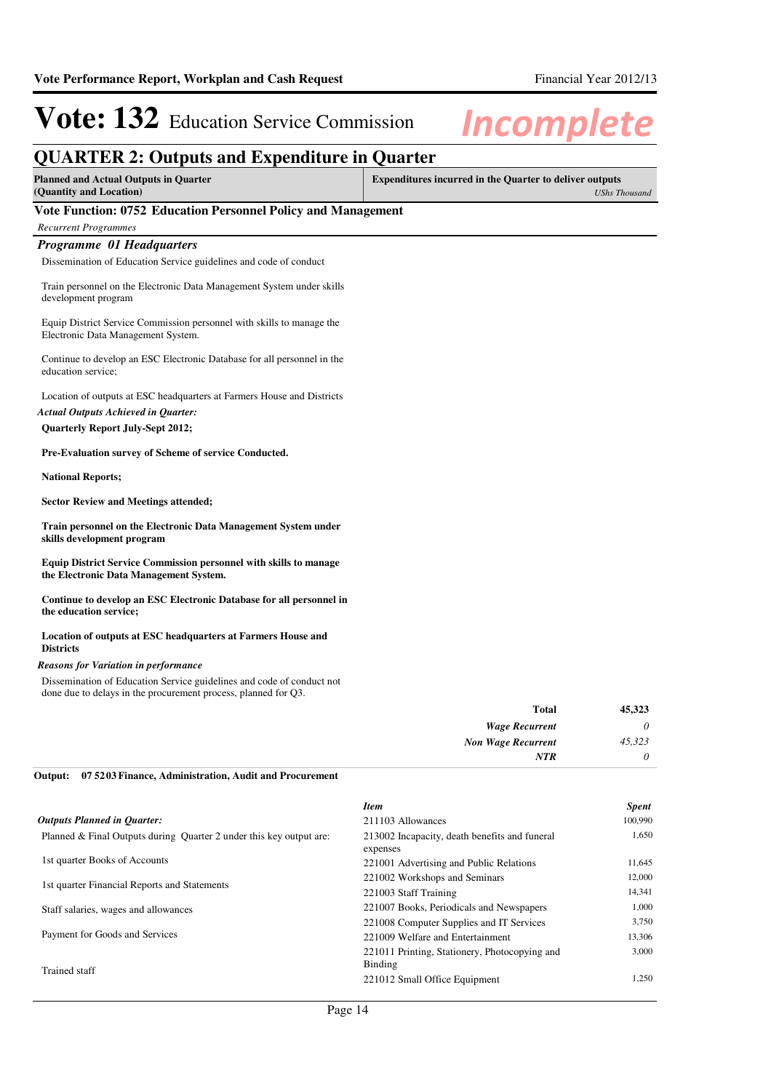### **QUARTER 2: Outputs and Expenditure in Quarter**

| <b>Planned and Actual Outputs in Quarter</b> | Expenditures incurred in the Quarter to deliver outputs |
|----------------------------------------------|---------------------------------------------------------|
| (Quantity and Location)                      | <b>UShs Thousand</b>                                    |

#### **Vote Function: 0752 Education Personnel Policy and Management**

#### *Recurrent Programmes*

#### *Programme 01 Headquarters*

Dissemination of Education Service guidelines and code of conduct

Train personnel on the Electronic Data Management System under skills development program

Equip District Service Commission personnel with skills to manage the Electronic Data Management System.

Continue to develop an ESC Electronic Database for all personnel in the education service;

Location of outputs at ESC headquarters at Farmers House and Districts

*Actual Outputs Achieved in Quarter:*

### **Quarterly Report July-Sept 2012;**

**Pre-Evaluation survey of Scheme of service Conducted.**

**National Reports;**

**Sector Review and Meetings attended;**

**Train personnel on the Electronic Data Management System under skills development program**

**Equip District Service Commission personnel with skills to manage the Electronic Data Management System.**

**Continue to develop an ESC Electronic Database for all personnel in the education service;**

#### **Location of outputs at ESC headquarters at Farmers House and Districts**

#### *Reasons for Variation in performance*

Dissemination of Education Service guidelines and code of conduct not done due to delays in the procurement process, planned for Q3.

| <b>Total</b>              | 45,323 |
|---------------------------|--------|
| <b>Wage Recurrent</b>     | 0      |
| <b>Non Wage Recurrent</b> | 45,323 |
| NTR                       | 0      |

#### **07 5203 Finance, Administration, Audit and Procurement Output:**

|                                                                     | <b>Item</b>                                               | <b>Spent</b> |
|---------------------------------------------------------------------|-----------------------------------------------------------|--------------|
| <b>Outputs Planned in Ouarter:</b>                                  | 211103 Allowances                                         | 100,990      |
| Planned & Final Outputs during Quarter 2 under this key output are: | 213002 Incapacity, death benefits and funeral<br>expenses | 1,650        |
| 1st quarter Books of Accounts                                       | 221001 Advertising and Public Relations                   | 11,645       |
| 1st quarter Financial Reports and Statements                        | 221002 Workshops and Seminars                             | 12,000       |
|                                                                     | 221003 Staff Training                                     | 14,341       |
| Staff salaries, wages and allowances                                | 221007 Books, Periodicals and Newspapers                  | 1,000        |
|                                                                     | 221008 Computer Supplies and IT Services                  | 3,750        |
| Payment for Goods and Services                                      | 221009 Welfare and Entertainment                          | 13,306       |
| Trained staff                                                       | 221011 Printing, Stationery, Photocopying and<br>Binding  | 3.000        |
|                                                                     | 221012 Small Office Equipment                             | 1.250        |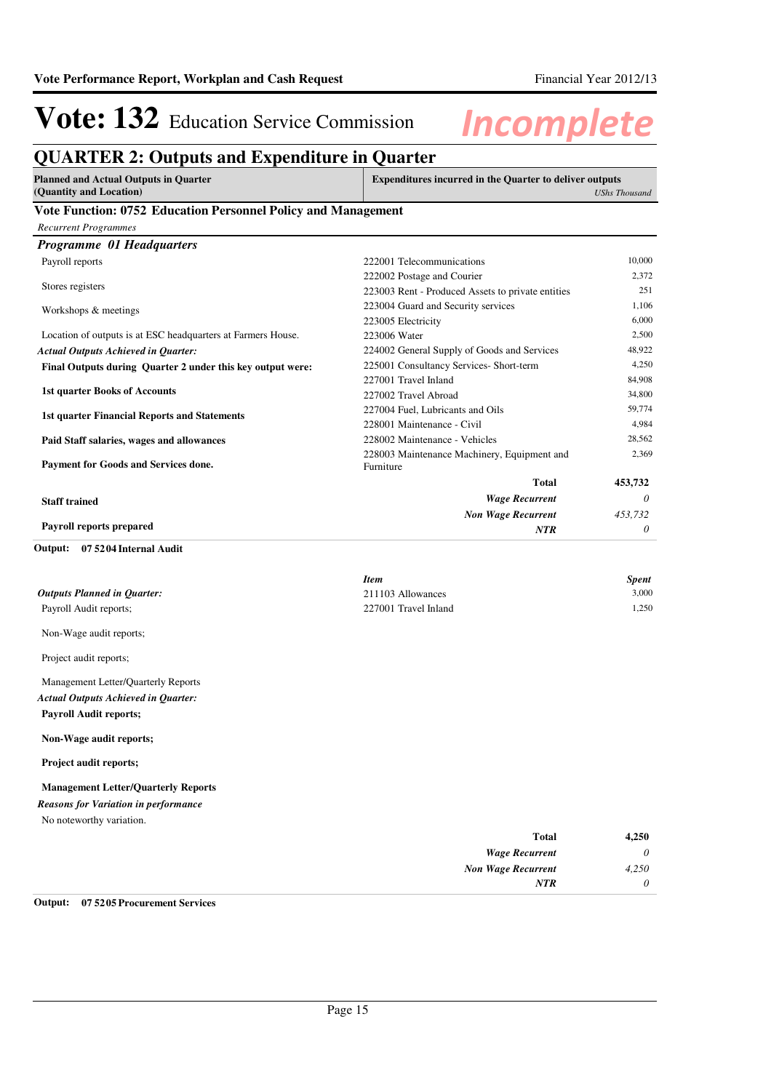## **QUARTER 2: Outputs and Expenditure in Quarter**

| <b>Planned and Actual Outputs in Quarter</b> | Expenditures incurred in the Quarter to deliver outputs |
|----------------------------------------------|---------------------------------------------------------|
| (Quantity and Location)                      | UShs Thousand                                           |
| <b>** / **</b><br>$A = A$ $B$ $T$            |                                                         |

#### **Vote Function: 0752 Education Personnel Policy and Management**

| <b>Recurrent Programmes</b>                                  |                                                          |          |
|--------------------------------------------------------------|----------------------------------------------------------|----------|
| Programme 01 Headquarters                                    |                                                          |          |
| Payroll reports                                              | 222001 Telecommunications                                | 10,000   |
|                                                              | 222002 Postage and Courier                               | 2.372    |
| Stores registers                                             | 223003 Rent - Produced Assets to private entities        | 251      |
| Workshops & meetings                                         | 223004 Guard and Security services                       | 1.106    |
|                                                              | 223005 Electricity                                       | 6,000    |
| Location of outputs is at ESC headquarters at Farmers House. | 223006 Water                                             | 2,500    |
| <b>Actual Outputs Achieved in Quarter:</b>                   | 224002 General Supply of Goods and Services              | 48,922   |
| Final Outputs during Quarter 2 under this key output were:   | 225001 Consultancy Services- Short-term                  | 4,250    |
|                                                              | 227001 Travel Inland                                     | 84,908   |
| <b>1st quarter Books of Accounts</b>                         | 227002 Travel Abroad                                     | 34,800   |
| <b>1st quarter Financial Reports and Statements</b>          | 227004 Fuel, Lubricants and Oils                         | 59,774   |
|                                                              | 228001 Maintenance - Civil                               | 4.984    |
| Paid Staff salaries, wages and allowances                    | 228002 Maintenance - Vehicles                            | 28,562   |
| Payment for Goods and Services done.                         | 228003 Maintenance Machinery, Equipment and<br>Furniture | 2,369    |
|                                                              | <b>Total</b>                                             | 453,732  |
| <b>Staff trained</b>                                         | <b>Wage Recurrent</b>                                    | $\theta$ |
|                                                              | <b>Non Wage Recurrent</b>                                | 453,732  |
| <b>Payroll reports prepared</b>                              | <b>NTR</b>                                               | 0        |

#### **07 5204 Internal Audit Output:**

|                                    | <b>Item</b>          | <b>Spent</b> |
|------------------------------------|----------------------|--------------|
| <b>Outputs Planned in Quarter:</b> | 211103 Allowances    | 3,000        |
| Payroll Audit reports;             | 227001 Travel Inland | 1.250        |
| Non-Wage audit reports;            |                      |              |

Project audit reports;

Management Letter/Quarterly Reports **Payroll Audit reports;** *Actual Outputs Achieved in Quarter:*

**Non-Wage audit reports;**

**Project audit reports;**

**Management Letter/Quarterly Reports**

No noteworthy variation. *Reasons for Variation in performance*

| <b>Total</b>              | 4,250    |
|---------------------------|----------|
| <b>Wage Recurrent</b>     | $\theta$ |
| <b>Non Wage Recurrent</b> | 4,250    |
| <b>NTR</b>                | $\theta$ |

#### **Output: 07 5205 Procurement Services**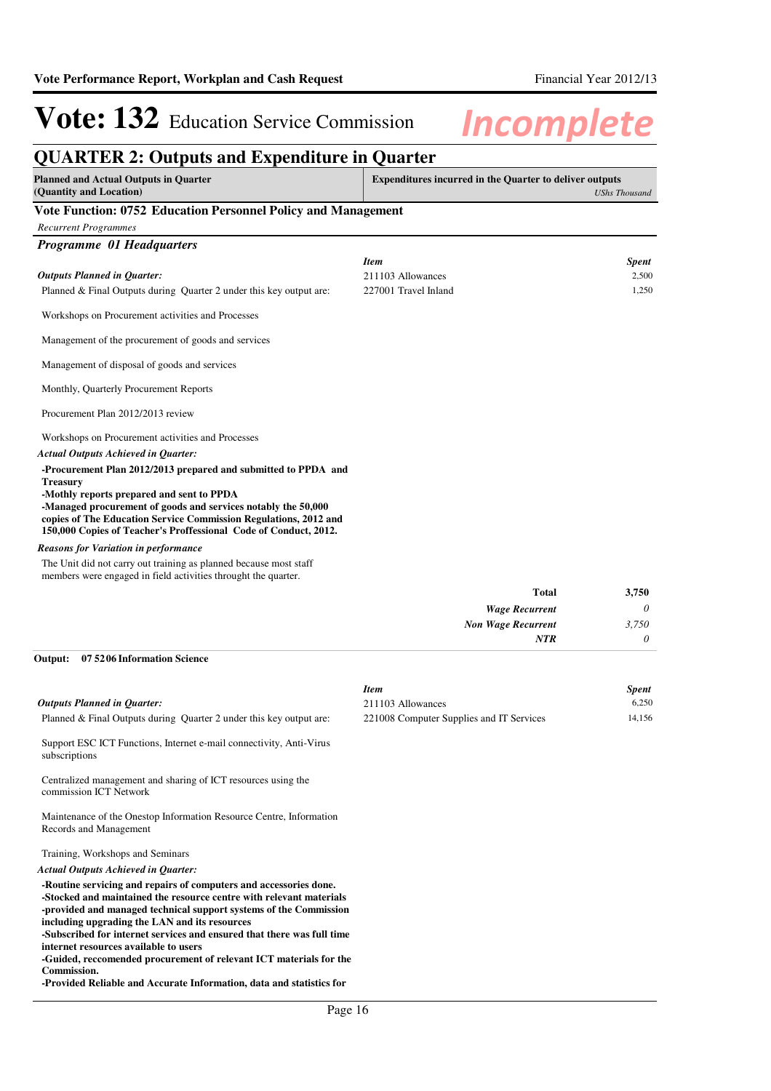### **QUARTER 2: Outputs and Expenditure in Quarter**

| <b>Planned and Actual Outputs in Quarter</b><br>(Quantity and Location)                                                                                                                                                                                                                                                                 |                      | <b>Expenditures incurred in the Quarter to deliver outputs</b> | <b>UShs Thousand</b> |
|-----------------------------------------------------------------------------------------------------------------------------------------------------------------------------------------------------------------------------------------------------------------------------------------------------------------------------------------|----------------------|----------------------------------------------------------------|----------------------|
| Vote Function: 0752 Education Personnel Policy and Management                                                                                                                                                                                                                                                                           |                      |                                                                |                      |
| <b>Recurrent Programmes</b>                                                                                                                                                                                                                                                                                                             |                      |                                                                |                      |
| Programme 01 Headquarters                                                                                                                                                                                                                                                                                                               |                      |                                                                |                      |
|                                                                                                                                                                                                                                                                                                                                         | <b>Item</b>          |                                                                | <b>Spent</b>         |
| <b>Outputs Planned in Quarter:</b>                                                                                                                                                                                                                                                                                                      | 211103 Allowances    |                                                                | 2,500                |
| Planned & Final Outputs during Quarter 2 under this key output are:                                                                                                                                                                                                                                                                     | 227001 Travel Inland |                                                                | 1,250                |
| Workshops on Procurement activities and Processes                                                                                                                                                                                                                                                                                       |                      |                                                                |                      |
| Management of the procurement of goods and services                                                                                                                                                                                                                                                                                     |                      |                                                                |                      |
| Management of disposal of goods and services                                                                                                                                                                                                                                                                                            |                      |                                                                |                      |
| Monthly, Quarterly Procurement Reports                                                                                                                                                                                                                                                                                                  |                      |                                                                |                      |
| Procurement Plan 2012/2013 review                                                                                                                                                                                                                                                                                                       |                      |                                                                |                      |
| Workshops on Procurement activities and Processes                                                                                                                                                                                                                                                                                       |                      |                                                                |                      |
| <b>Actual Outputs Achieved in Quarter:</b>                                                                                                                                                                                                                                                                                              |                      |                                                                |                      |
| -Procurement Plan 2012/2013 prepared and submitted to PPDA and<br><b>Treasury</b><br>-Mothly reports prepared and sent to PPDA<br>-Managed procurement of goods and services notably the 50,000<br>copies of The Education Service Commission Regulations, 2012 and<br>150,000 Copies of Teacher's Proffessional Code of Conduct, 2012. |                      |                                                                |                      |
| <b>Reasons for Variation in performance</b>                                                                                                                                                                                                                                                                                             |                      |                                                                |                      |
| The Unit did not carry out training as planned because most staff<br>members were engaged in field activities throught the quarter.                                                                                                                                                                                                     |                      |                                                                |                      |
|                                                                                                                                                                                                                                                                                                                                         |                      | <b>Total</b>                                                   | 3,750                |
|                                                                                                                                                                                                                                                                                                                                         |                      | <b>Wage Recurrent</b>                                          | 0                    |
|                                                                                                                                                                                                                                                                                                                                         |                      | <b>Non Wage Recurrent</b>                                      | 3,750                |
|                                                                                                                                                                                                                                                                                                                                         |                      | NTR                                                            | 0                    |

#### **07 5206 Information Science Output:**

|                                                                                               | <b>Item</b>                              | <b>Spent</b> |
|-----------------------------------------------------------------------------------------------|------------------------------------------|--------------|
| <b>Outputs Planned in Ouarter:</b>                                                            | 211103 Allowances                        | 6.250        |
| Planned & Final Outputs during Quarter 2 under this key output are:                           | 221008 Computer Supplies and IT Services | 14,156       |
| Support ESC ICT Functions, Internet e-mail connectivity, Anti-Virus<br>subscriptions          |                                          |              |
| Centralized management and sharing of ICT resources using the<br>commission ICT Network       |                                          |              |
| Maintenance of the Onestop Information Resource Centre, Information<br>Records and Management |                                          |              |
| Training, Workshops and Seminars                                                              |                                          |              |
| Actual Outputs Achieved in Oughton                                                            |                                          |              |

#### *Actual Outputs Achieved in Quarter:*

**-Routine servicing and repairs of computers and accessories done. -Stocked and maintained the resource centre with relevant materials -provided and managed technical support systems of the Commission including upgrading the LAN and its resources**

**-Subscribed for internet services and ensured that there was full time internet resources available to users**

**-Guided, reccomended procurement of relevant ICT materials for the Commission.**

**-Provided Reliable and Accurate Information, data and statistics for**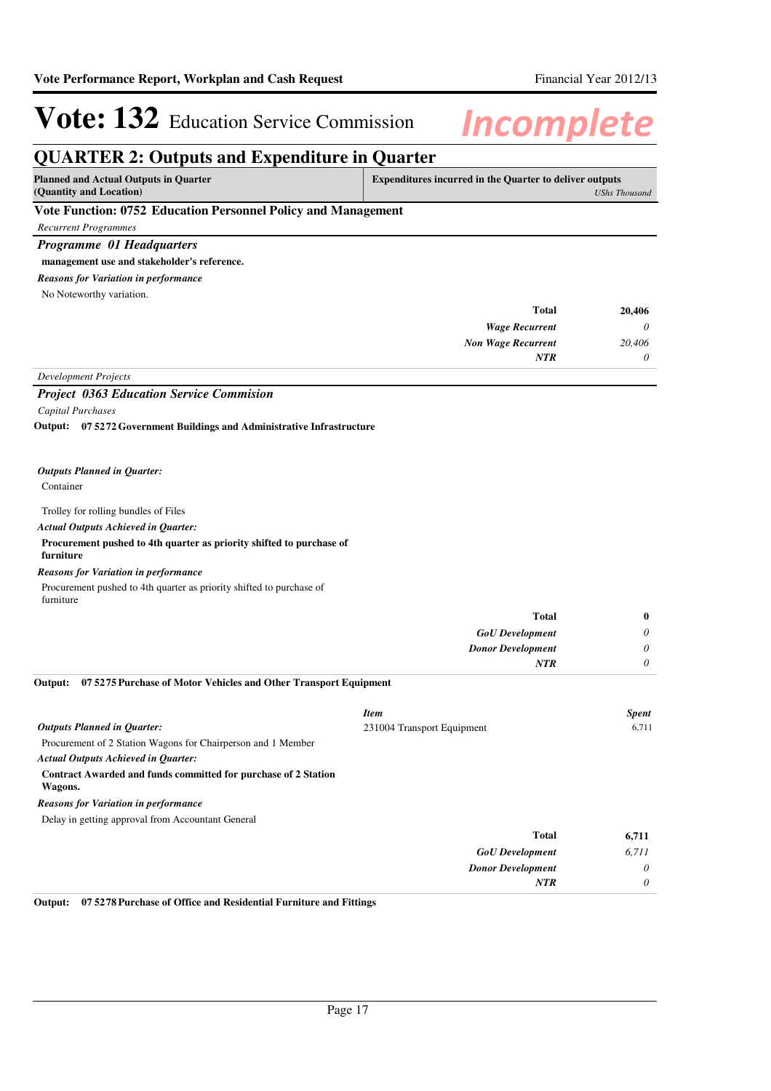### **QUARTER 2: Outputs and Expenditure in Quarter**

| Planned and Actual Outputs in Quarter                         | <b>Expenditures incurred in the Quarter to deliver outputs</b> |
|---------------------------------------------------------------|----------------------------------------------------------------|
| (Quantity and Location)                                       | <b>UShs Thousand</b>                                           |
| Vote Eunction: 0752 Education Personnel Policy and Management |                                                                |

#### **Vote Function: 0752 Education Personnel Policy**

*Recurrent Programmes*

*Programme 01 Headquarters*

#### **management use and stakeholder's reference.**

*Reasons for Variation in performance*

No Noteworthy variation.

| <b>Total</b>                              | 20,406   |
|-------------------------------------------|----------|
| <b>Wage Recurrent</b>                     | $\theta$ |
| <b>Non Wage Recurrent</b>                 | 20,406   |
| <b>NTR</b>                                | $\theta$ |
| $\mathbf{r}$ in the state of $\mathbf{r}$ |          |

#### *Development Projects*

#### *Project 0363 Education Service Commision*

*Capital Purchases*

**07 5272 Government Buildings and Administrative Infrastructure Output:**

#### *Outputs Planned in Quarter:*

#### Container

#### Trolley for rolling bundles of Files

#### *Actual Outputs Achieved in Quarter:*

#### **Procurement pushed to 4th quarter as priority shifted to purchase of furniture**

#### *Reasons for Variation in performance*

Procurement pushed to 4th quarter as priority shifted to purchase of furniture

|                                                                             | <b>Total</b>               | $\mathbf{0}$ |
|-----------------------------------------------------------------------------|----------------------------|--------------|
|                                                                             | <b>GoU</b> Development     | $\theta$     |
|                                                                             | <b>Donor Development</b>   | $\theta$     |
|                                                                             | <b>NTR</b>                 | $\theta$     |
| Output:<br>07 5275 Purchase of Motor Vehicles and Other Transport Equipment |                            |              |
|                                                                             | <b>Item</b>                | <b>Spent</b> |
| <b>Outputs Planned in Quarter:</b>                                          | 231004 Transport Equipment | 6,711        |
| Procurement of 2 Station Wagons for Chairperson and 1 Member                |                            |              |

*Actual Outputs Achieved in Quarter:*

#### **Contract Awarded and funds committed for purchase of 2 Station**

**Wagons.**

#### *Reasons for Variation in performance*

Delay in getting approval from Accountant General

| 6,711    | Total                    |
|----------|--------------------------|
| 6,711    | <b>GoU</b> Development   |
| $\theta$ | <b>Donor Development</b> |
| $\theta$ | <b>NTR</b>               |
|          |                          |

**Output: 07 5278 Purchase of Office and Residential Furniture and Fittings**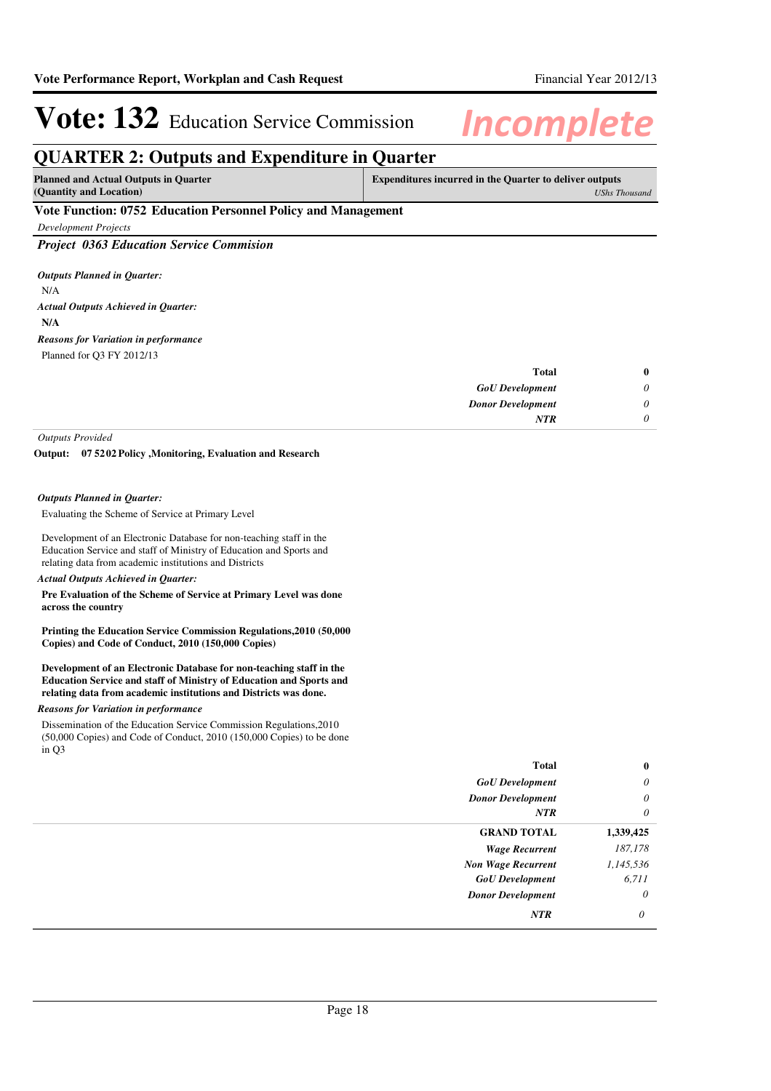*UShs Thousand*

# Vote: 132 Education Service Commission Incomplete

**Total**

### **QUARTER 2: Outputs and Expenditure in Quarter**

| <b>Planned and Actual Outputs in Quarter</b> | <b>Expenditures incurred in the Quarter to deliver outputs</b> |
|----------------------------------------------|----------------------------------------------------------------|
| (Quantity and Location)                      | UShs T                                                         |

#### **Vote Function: 0752 Education Personnel Policy and Management**

*Development Projects*

*Project 0363 Education Service Commision*

N/A **N/A** *Actual Outputs Achieved in Quarter: Outputs Planned in Quarter:* Planned for Q3 FY 2012/13 *Reasons for Variation in performance*

| $\bf{0}$ | Total                    |
|----------|--------------------------|
| 0        | <b>GoU</b> Development   |
| 0        | <b>Donor Development</b> |
| 0        | <b>NTR</b>               |
|          |                          |

*Outputs Provided*

**07 5202 Policy ,Monitoring, Evaluation and Research Output:**

#### *Outputs Planned in Quarter:*

Evaluating the Scheme of Service at Primary Level

Development of an Electronic Database for non-teaching staff in the Education Service and staff of Ministry of Education and Sports and relating data from academic institutions and Districts

#### *Actual Outputs Achieved in Quarter:*

**Pre Evaluation of the Scheme of Service at Primary Level was done across the country**

**Printing the Education Service Commission Regulations,2010 (50,000 Copies) and Code of Conduct, 2010 (150,000 Copies)**

**Development of an Electronic Database for non-teaching staff in the Education Service and staff of Ministry of Education and Sports and relating data from academic institutions and Districts was done.**

#### *Reasons for Variation in performance*

Dissemination of the Education Service Commission Regulations,2010 (50,000 Copies) and Code of Conduct, 2010 (150,000 Copies) to be done in Q3

| Total                     | $\bf{0}$  |
|---------------------------|-----------|
| <b>GoU</b> Development    | $\theta$  |
| <b>Donor Development</b>  | $\theta$  |
| <b>NTR</b>                | $\theta$  |
| <b>GRAND TOTAL</b>        | 1,339,425 |
| <b>Wage Recurrent</b>     | 187,178   |
| <b>Non Wage Recurrent</b> | 1,145,536 |
| <b>GoU</b> Development    | 6,711     |
| <b>Donor Development</b>  | $\theta$  |
| NTR                       | $\theta$  |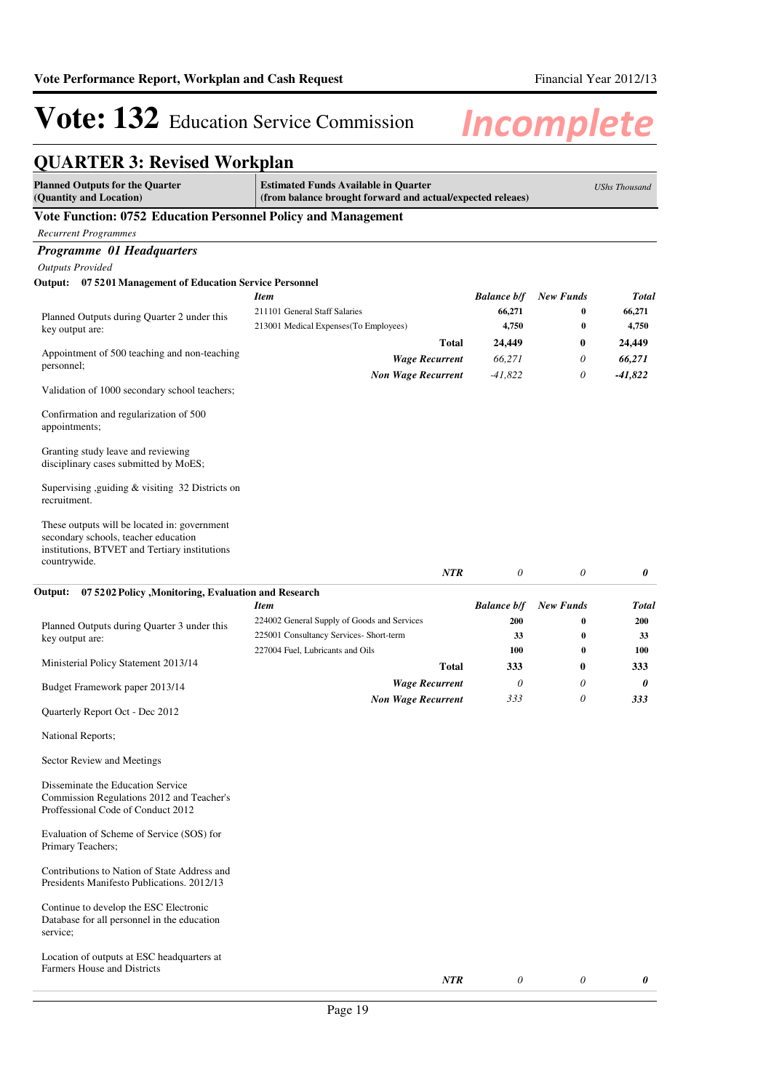## **QUARTER 3: Revised Workplan**

| <b>Planned Outputs for the Quarter</b><br>(Quantity and Location)                                                                                     | <b>Estimated Funds Available in Quarter</b><br>(from balance brought forward and actual/expected releaes) |                     |                      | <b>UShs Thousand</b> |
|-------------------------------------------------------------------------------------------------------------------------------------------------------|-----------------------------------------------------------------------------------------------------------|---------------------|----------------------|----------------------|
| Vote Function: 0752 Education Personnel Policy and Management                                                                                         |                                                                                                           |                     |                      |                      |
| <b>Recurrent Programmes</b>                                                                                                                           |                                                                                                           |                     |                      |                      |
| Programme 01 Headquarters                                                                                                                             |                                                                                                           |                     |                      |                      |
| <b>Outputs Provided</b>                                                                                                                               |                                                                                                           |                     |                      |                      |
| Output: 07 5201 Management of Education Service Personnel                                                                                             |                                                                                                           |                     |                      |                      |
|                                                                                                                                                       | Item                                                                                                      | <b>Balance b/f</b>  | <b>New Funds</b>     | <b>Total</b>         |
| Planned Outputs during Quarter 2 under this                                                                                                           | 211101 General Staff Salaries                                                                             | 66,271<br>4,750     | 0<br>$\bf{0}$        | 66,271<br>4,750      |
| key output are:                                                                                                                                       | 213001 Medical Expenses (To Employees)<br>Total                                                           |                     |                      |                      |
| Appointment of 500 teaching and non-teaching                                                                                                          |                                                                                                           | 24,449              | $\bf{0}$<br>$\theta$ | 24,449               |
| personnel;                                                                                                                                            | <b>Wage Recurrent</b><br><b>Non Wage Recurrent</b>                                                        | 66,271<br>$-41,822$ | 0                    | 66,271<br>$-41,822$  |
| Validation of 1000 secondary school teachers;                                                                                                         |                                                                                                           |                     |                      |                      |
| Confirmation and regularization of 500<br>appointments;                                                                                               |                                                                                                           |                     |                      |                      |
| Granting study leave and reviewing<br>disciplinary cases submitted by MoES;                                                                           |                                                                                                           |                     |                      |                      |
| Supervising ,guiding & visiting 32 Districts on<br>recruitment.                                                                                       |                                                                                                           |                     |                      |                      |
| These outputs will be located in: government<br>secondary schools, teacher education<br>institutions, BTVET and Tertiary institutions<br>countrywide. |                                                                                                           |                     |                      |                      |
|                                                                                                                                                       | <b>NTR</b>                                                                                                | $\theta$            | $\theta$             | 0                    |
| Output:<br>07 5202 Policy , Monitoring, Evaluation and Research                                                                                       |                                                                                                           |                     |                      |                      |
|                                                                                                                                                       | Item                                                                                                      | <b>Balance b/f</b>  | <b>New Funds</b>     | <b>Total</b>         |
| Planned Outputs during Quarter 3 under this                                                                                                           | 224002 General Supply of Goods and Services                                                               | 200                 | 0                    | <b>200</b>           |
| key output are:                                                                                                                                       | 225001 Consultancy Services- Short-term                                                                   | 33                  | $\bf{0}$             | 33                   |
|                                                                                                                                                       | 227004 Fuel, Lubricants and Oils                                                                          | 100                 | $\bf{0}$             | 100                  |
| Ministerial Policy Statement 2013/14                                                                                                                  | Total                                                                                                     | 333                 | $\bf{0}$             | 333                  |
| Budget Framework paper 2013/14                                                                                                                        | <b>Wage Recurrent</b>                                                                                     | 0                   | 0                    | 0                    |
| Quarterly Report Oct - Dec 2012                                                                                                                       | <b>Non Wage Recurrent</b>                                                                                 | 333                 | $\theta$             | 333                  |
| National Reports;                                                                                                                                     |                                                                                                           |                     |                      |                      |
| Sector Review and Meetings                                                                                                                            |                                                                                                           |                     |                      |                      |
| Disseminate the Education Service<br>Commission Regulations 2012 and Teacher's<br>Proffessional Code of Conduct 2012                                  |                                                                                                           |                     |                      |                      |
| Evaluation of Scheme of Service (SOS) for<br>Primary Teachers;                                                                                        |                                                                                                           |                     |                      |                      |
| Contributions to Nation of State Address and<br>Presidents Manifesto Publications, 2012/13                                                            |                                                                                                           |                     |                      |                      |
| Continue to develop the ESC Electronic<br>Database for all personnel in the education<br>service;                                                     |                                                                                                           |                     |                      |                      |
| Location of outputs at ESC headquarters at<br>Farmers House and Districts                                                                             | NTR                                                                                                       | 0                   | 0                    | 0                    |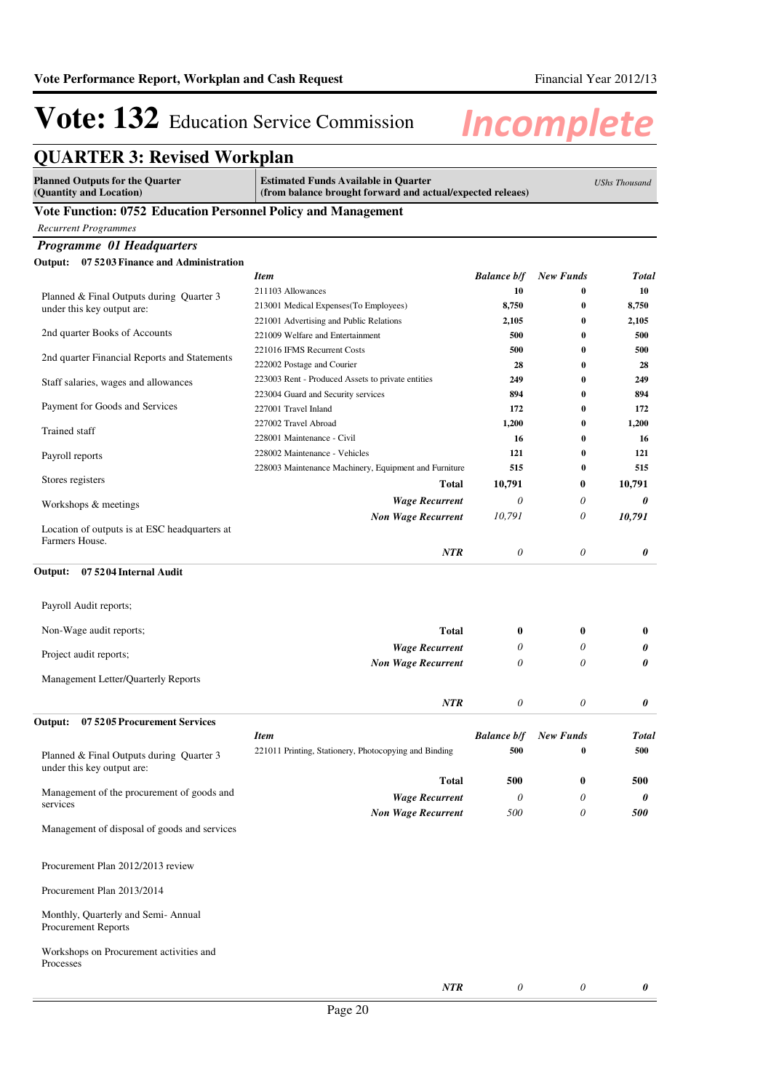| <b>QUARTER 3: Revised Workplan</b>                                     |                                                                                                           |                           |                      |                      |
|------------------------------------------------------------------------|-----------------------------------------------------------------------------------------------------------|---------------------------|----------------------|----------------------|
| <b>Planned Outputs for the Quarter</b><br>(Quantity and Location)      | <b>Estimated Funds Available in Quarter</b><br>(from balance brought forward and actual/expected releaes) |                           |                      | <b>UShs Thousand</b> |
| Vote Function: 0752 Education Personnel Policy and Management          |                                                                                                           |                           |                      |                      |
| <b>Recurrent Programmes</b>                                            |                                                                                                           |                           |                      |                      |
| <b>Programme 01 Headquarters</b>                                       |                                                                                                           |                           |                      |                      |
| 07 5203 Finance and Administration<br>Output:                          |                                                                                                           |                           |                      |                      |
|                                                                        | <b>Item</b>                                                                                               | <b>Balance b/f</b>        | <b>New Funds</b>     | <b>Total</b>         |
| Planned & Final Outputs during Quarter 3                               | 211103 Allowances                                                                                         | 10                        | $\bf{0}$             | 10                   |
| under this key output are:                                             | 213001 Medical Expenses(To Employees)                                                                     | 8,750                     | $\bf{0}$             | 8,750                |
|                                                                        | 221001 Advertising and Public Relations                                                                   | 2,105                     | $\bf{0}$             | 2,105                |
| 2nd quarter Books of Accounts                                          | 221009 Welfare and Entertainment                                                                          | 500                       | $\bf{0}$             | 500                  |
| 2nd quarter Financial Reports and Statements                           | 221016 IFMS Recurrent Costs                                                                               | 500                       | $\bf{0}$             | 500                  |
|                                                                        | 222002 Postage and Courier<br>223003 Rent - Produced Assets to private entities                           | 28<br>249                 | $\bf{0}$<br>$\bf{0}$ | 28<br>249            |
| Staff salaries, wages and allowances                                   | 223004 Guard and Security services                                                                        | 894                       | $\bf{0}$             | 894                  |
| Payment for Goods and Services                                         | 227001 Travel Inland                                                                                      | 172                       | $\bf{0}$             | 172                  |
|                                                                        | 227002 Travel Abroad                                                                                      | 1,200                     | $\bf{0}$             | 1,200                |
| Trained staff                                                          | 228001 Maintenance - Civil                                                                                | 16                        | $\bf{0}$             | 16                   |
| Payroll reports                                                        | 228002 Maintenance - Vehicles                                                                             | 121                       | $\bf{0}$             | 121                  |
|                                                                        | 228003 Maintenance Machinery, Equipment and Furniture                                                     | 515                       | $\bf{0}$             | 515                  |
| Stores registers                                                       | <b>Total</b>                                                                                              | 10,791                    | $\bf{0}$             | 10,791               |
| Workshops & meetings                                                   | <b>Wage Recurrent</b>                                                                                     | 0                         | 0                    | 0                    |
|                                                                        | <b>Non Wage Recurrent</b>                                                                                 | 10,791                    | 0                    | 10,791               |
| Location of outputs is at ESC headquarters at<br>Farmers House.        |                                                                                                           |                           |                      |                      |
| 07 5204 Internal Audit<br>Output:<br>Payroll Audit reports;            |                                                                                                           |                           |                      |                      |
| Non-Wage audit reports;                                                | <b>Total</b>                                                                                              | $\bf{0}$                  | 0                    | $\bf{0}$             |
|                                                                        | <b>Wage Recurrent</b>                                                                                     | 0                         | 0                    | 0                    |
| Project audit reports;                                                 | <b>Non Wage Recurrent</b>                                                                                 | 0                         | 0                    | 0                    |
| Management Letter/Quarterly Reports                                    |                                                                                                           |                           |                      |                      |
|                                                                        | <b>NTR</b>                                                                                                | $\theta$                  | 0                    | 0                    |
| Output:<br>075205 Procurement Services                                 | <b>Item</b>                                                                                               | <b>Balance b/f</b>        | <b>New Funds</b>     | <b>Total</b>         |
|                                                                        | 221011 Printing, Stationery, Photocopying and Binding                                                     | 500                       | $\bf{0}$             | 500                  |
| Planned & Final Outputs during Quarter 3<br>under this key output are: |                                                                                                           |                           |                      |                      |
|                                                                        | <b>Total</b>                                                                                              | 500                       | 0                    | 500                  |
| Management of the procurement of goods and<br>services                 | <b>Wage Recurrent</b>                                                                                     | $\theta$                  | $\theta$             | 0                    |
|                                                                        | <b>Non Wage Recurrent</b>                                                                                 | 500                       | $\theta$             | 500                  |
| Management of disposal of goods and services                           |                                                                                                           |                           |                      |                      |
| Procurement Plan 2012/2013 review                                      |                                                                                                           |                           |                      |                      |
| Procurement Plan 2013/2014                                             |                                                                                                           |                           |                      |                      |
| Monthly, Quarterly and Semi-Annual<br>Procurement Reports              |                                                                                                           |                           |                      |                      |
| Workshops on Procurement activities and<br>Processes                   |                                                                                                           |                           |                      |                      |
|                                                                        | NTR                                                                                                       | $\boldsymbol{\mathit{0}}$ | 0                    | 0                    |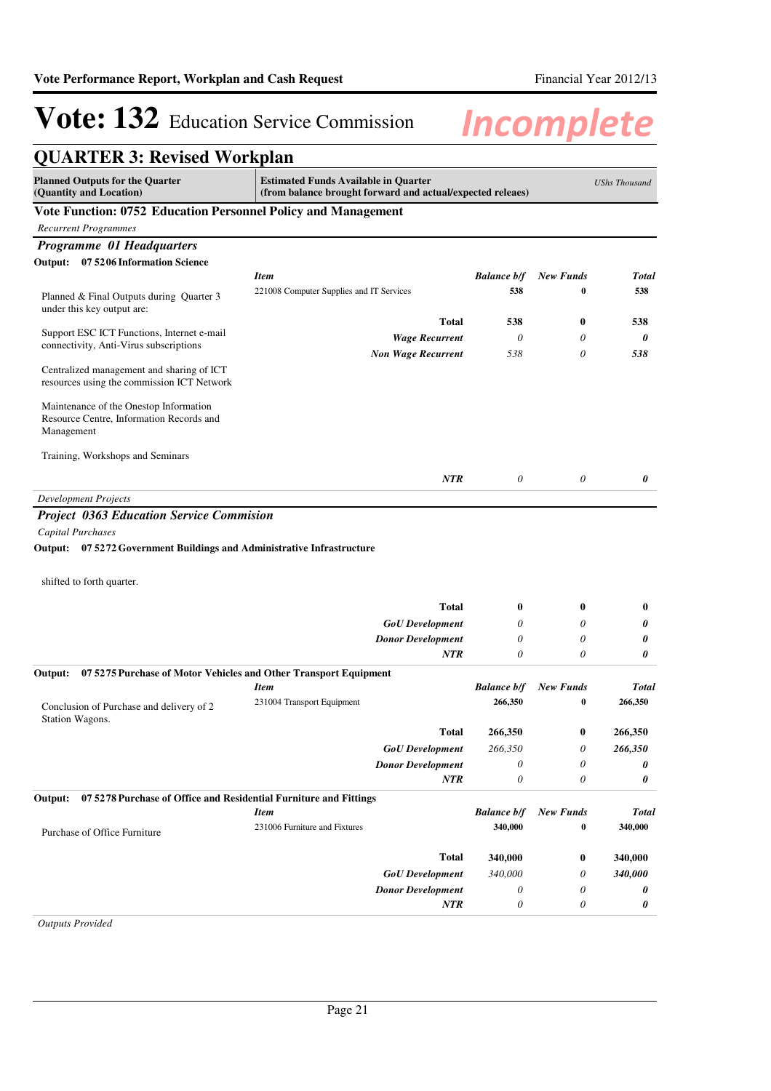| <b>QUARTER 3: Revised Workplan</b>                                                      |                                                                                                           |                       |                  |                      |
|-----------------------------------------------------------------------------------------|-----------------------------------------------------------------------------------------------------------|-----------------------|------------------|----------------------|
| <b>Planned Outputs for the Quarter</b><br>(Quantity and Location)                       | <b>Estimated Funds Available in Quarter</b><br>(from balance brought forward and actual/expected releaes) |                       |                  | <b>UShs Thousand</b> |
| Vote Function: 0752 Education Personnel Policy and Management                           |                                                                                                           |                       |                  |                      |
| <b>Recurrent Programmes</b>                                                             |                                                                                                           |                       |                  |                      |
| <b>Programme 01 Headquarters</b>                                                        |                                                                                                           |                       |                  |                      |
| Output: 07 5206 Information Science                                                     |                                                                                                           |                       |                  |                      |
|                                                                                         | <b>Item</b>                                                                                               | <b>Balance b/f</b>    | <b>New Funds</b> | <b>Total</b>         |
| Planned & Final Outputs during Quarter 3<br>under this key output are:                  | 221008 Computer Supplies and IT Services                                                                  | 538                   | $\bf{0}$         | 538                  |
| Support ESC ICT Functions, Internet e-mail                                              | Total                                                                                                     | 538                   | $\boldsymbol{0}$ | 538                  |
| connectivity, Anti-Virus subscriptions                                                  | <b>Wage Recurrent</b>                                                                                     | $\theta$              | 0                | 0                    |
|                                                                                         | <b>Non Wage Recurrent</b>                                                                                 | 538                   | 0                | 538                  |
| Centralized management and sharing of ICT<br>resources using the commission ICT Network |                                                                                                           |                       |                  |                      |
| Maintenance of the Onestop Information                                                  |                                                                                                           |                       |                  |                      |
| Resource Centre, Information Records and<br>Management                                  |                                                                                                           |                       |                  |                      |
| Training, Workshops and Seminars                                                        |                                                                                                           |                       |                  |                      |
|                                                                                         |                                                                                                           |                       |                  |                      |
|                                                                                         | <b>NTR</b>                                                                                                | $\theta$              | 0                | 0                    |
| <b>Development Projects</b>                                                             |                                                                                                           |                       |                  |                      |
| <b>Project 0363 Education Service Commision</b>                                         |                                                                                                           |                       |                  |                      |
| Capital Purchases                                                                       |                                                                                                           |                       |                  |                      |
| Output: 07 5272 Government Buildings and Administrative Infrastructure                  |                                                                                                           |                       |                  |                      |
| shifted to forth quarter.                                                               |                                                                                                           |                       |                  |                      |
|                                                                                         |                                                                                                           |                       |                  |                      |
|                                                                                         | Total                                                                                                     | $\boldsymbol{0}$      | $\bf{0}$         | $\bf{0}$             |
|                                                                                         | <b>GoU</b> Development                                                                                    | 0                     | 0                | 0                    |
|                                                                                         | <b>Donor Development</b>                                                                                  | $\theta$              | 0                | 0                    |
|                                                                                         | <b>NTR</b>                                                                                                | $\theta$              | 0                | 0                    |
| Output:<br>075275 Purchase of Motor Vehicles and Other Transport Equipment              |                                                                                                           |                       |                  |                      |
|                                                                                         | <b>Item</b>                                                                                               | <b>Balance b/f</b>    | <b>New Funds</b> | <b>Total</b>         |
| Conclusion of Purchase and delivery of 2<br>Station Wagons.                             | 231004 Transport Equipment                                                                                | 266,350               | 0                | 266,350              |
|                                                                                         | <b>Total</b>                                                                                              | 266,350               | $\bf{0}$         | 266,350              |
|                                                                                         | <b>GoU</b> Development                                                                                    | 266,350               | 0                | 266,350              |
|                                                                                         | <b>Donor Development</b>                                                                                  | $\boldsymbol{\theta}$ | 0                | 0                    |
|                                                                                         | <b>NTR</b>                                                                                                | $\theta$              | 0                | 0                    |
| 07 5278 Purchase of Office and Residential Furniture and Fittings<br>Output:            |                                                                                                           |                       |                  |                      |
|                                                                                         | <b>Item</b>                                                                                               | <b>Balance b/f</b>    | <b>New Funds</b> | <b>Total</b>         |
| Purchase of Office Furniture                                                            | 231006 Furniture and Fixtures                                                                             | 340,000               | 0                | 340,000              |
|                                                                                         | Total                                                                                                     | 340,000               | 0                | 340,000              |
|                                                                                         | <b>GoU</b> Development                                                                                    | 340,000               | 0                | 340,000              |
|                                                                                         | <b>Donor Development</b>                                                                                  | $\theta$              | 0                | 0                    |
|                                                                                         | NTR                                                                                                       | $\theta$              | 0                | 0                    |

*Outputs Provided*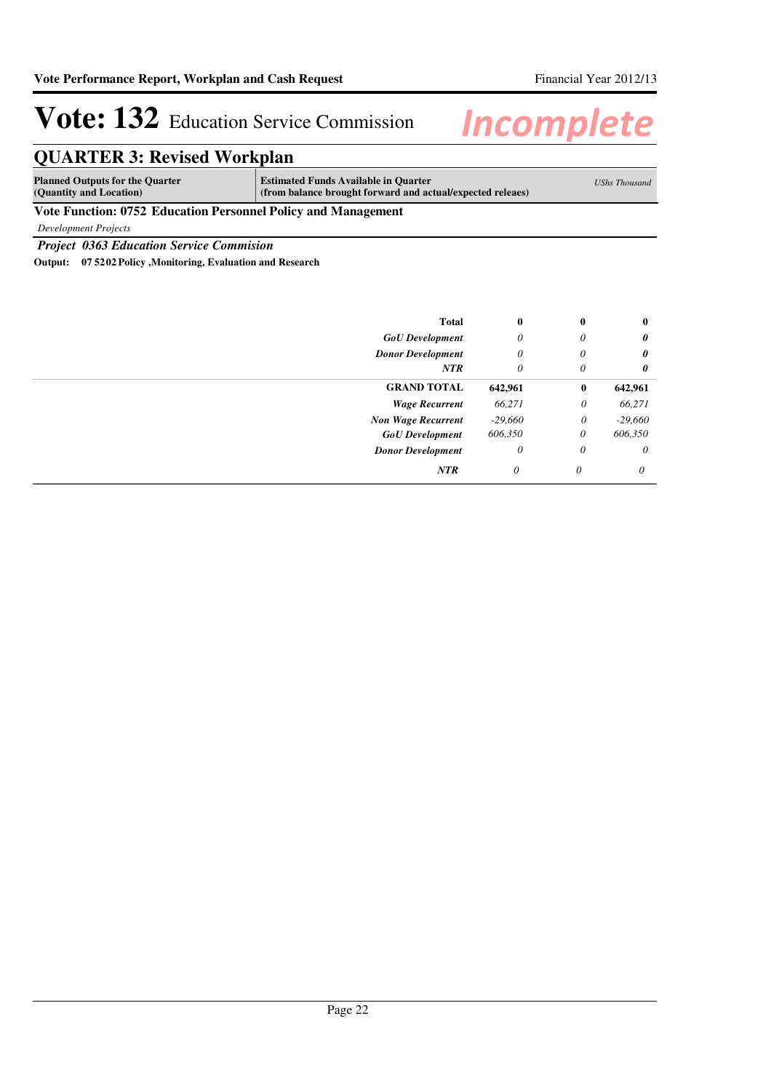## **QUARTER 3: Revised Workplan**

| <b>Planned Outputs for the Quarter</b><br>(Quantity and Location) | <b>Estimated Funds Available in Quarter</b><br>(from balance brought forward and actual/expected releaes) | UShs Thousand |
|-------------------------------------------------------------------|-----------------------------------------------------------------------------------------------------------|---------------|
| Vote Eurotian: 0752 Education Demannal Deliar and Managament      |                                                                                                           |               |

### **Vote Function: 0752 Education Personnel Policy and Management**

*Development Projects*

*Project 0363 Education Service Commision*

**Output: 07 5202 Policy ,Monitoring, Evaluation and Research**

| <b>Total</b>              | $\bf{0}$  | $\bf{0}$ | $\bf{0}$  |
|---------------------------|-----------|----------|-----------|
| <b>GoU</b> Development    | $\theta$  | 0        | 0         |
| <b>Donor Development</b>  | $\theta$  | 0        | 0         |
| <b>NTR</b>                | 0         | 0        | 0         |
| <b>GRAND TOTAL</b>        | 642,961   | $\bf{0}$ | 642,961   |
| <b>Wage Recurrent</b>     | 66,271    | $\theta$ | 66,271    |
| <b>Non Wage Recurrent</b> | $-29,660$ | 0        | $-29,660$ |
| <b>GoU</b> Development    | 606,350   | 0        | 606,350   |
| <b>Donor Development</b>  | $\theta$  | $\theta$ | $\theta$  |
| <b>NTR</b>                | 0         | $\theta$ | 0         |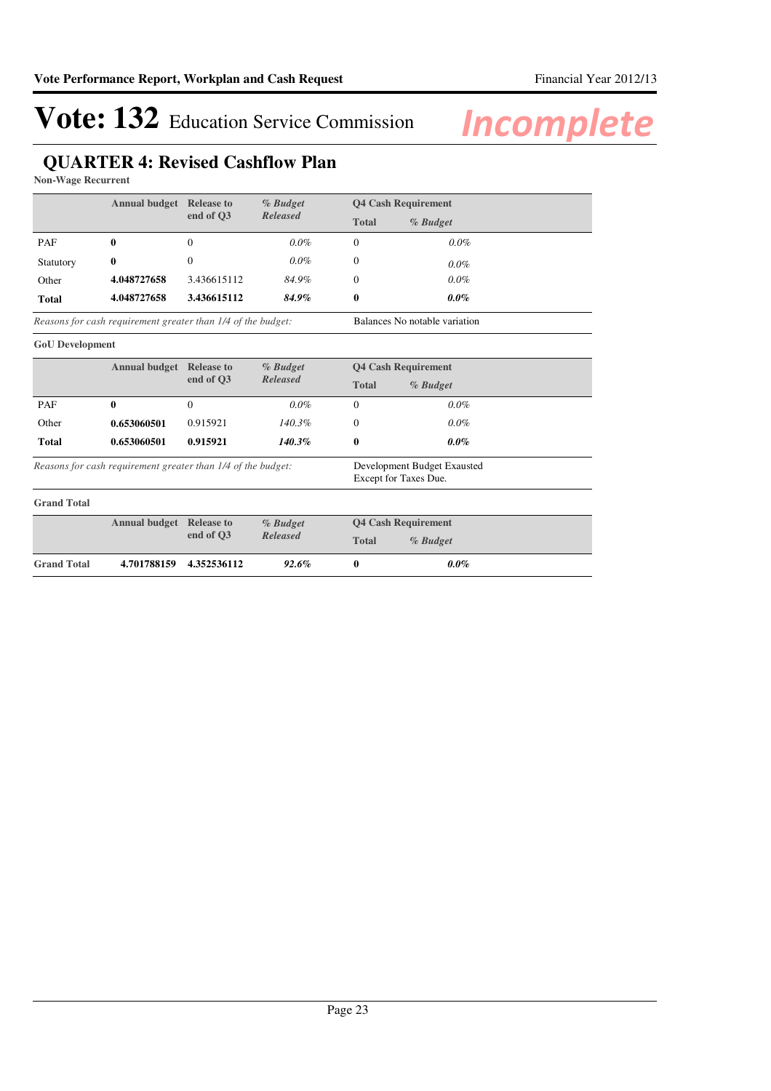## **QUARTER 4: Revised Cashflow Plan**

**Non-Wage Recurrent**

|              | <b>Annual budget</b><br><b>Release to</b> | % Budget    | <b>Q4 Cash Requirement</b> |              |          |
|--------------|-------------------------------------------|-------------|----------------------------|--------------|----------|
|              |                                           | end of O3   | Released                   | <b>Total</b> | % Budget |
| <b>PAF</b>   | 0                                         | $\theta$    | $0.0\%$                    | $\Omega$     | $0.0\%$  |
| Statutory    | $\bf{0}$                                  | $\Omega$    | $0.0\%$                    | 0            | $0.0\%$  |
| Other        | 4.048727658                               | 3.436615112 | 84.9%                      | 0            | $0.0\%$  |
| <b>Total</b> | 4.048727658                               | 3.436615112 | 84.9%                      | 0            | $0.0\%$  |

Balances No notable variation *Reasons for cash requirement greater than 1/4 of the budget:*

#### **GoU Development**

|              | <b>Annual budget</b> | <b>Release to</b><br>end of O3 | % Budget<br><b>Released</b> | <b>Q4 Cash Requirement</b> |          |
|--------------|----------------------|--------------------------------|-----------------------------|----------------------------|----------|
|              |                      |                                |                             | <b>Total</b>               | % Budget |
| PAF          | 0                    | 0                              | $0.0\%$                     |                            | $0.0\%$  |
| Other        | 0.653060501          | 0.915921                       | $140.3\%$                   |                            | $0.0\%$  |
| <b>Total</b> | 0.653060501          | 0.915921                       | $140.3\%$                   | 0                          | $0.0\%$  |
|              |                      |                                |                             |                            |          |

*Reasons for cash requirement greater than 1/4 of the budget:*

Development Budget Exausted Except for Taxes Due.

| <b>Grand Total</b> |                                 |             |                      |                            |            |  |
|--------------------|---------------------------------|-------------|----------------------|----------------------------|------------|--|
|                    | <b>Annual budget</b> Release to | end of O3   | % Budget<br>Released | <b>04 Cash Requirement</b> |            |  |
|                    |                                 |             |                      | <b>Total</b>               | $%$ Budget |  |
| <b>Grand Total</b> | 4.701788159                     | 4.352536112 | $92.6\%$             |                            | $0.0\%$    |  |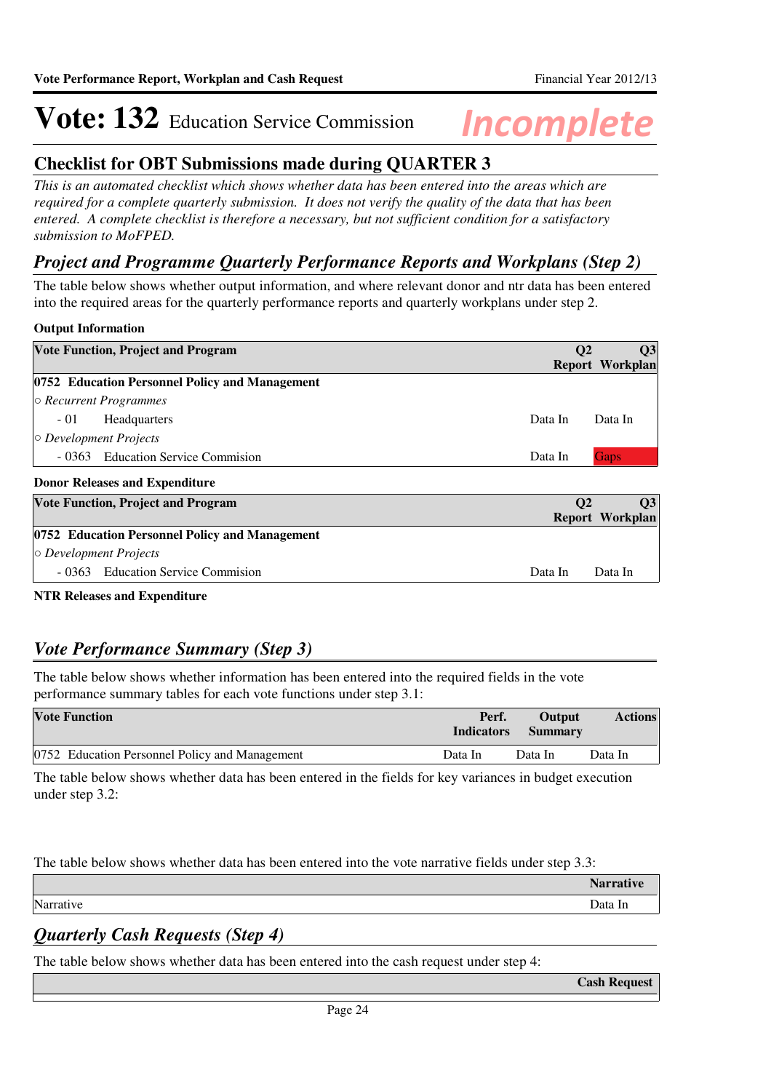### **Checklist for OBT Submissions made during QUARTER 3**

*This is an automated checklist which shows whether data has been entered into the areas which are required for a complete quarterly submission. It does not verify the quality of the data that has been entered. A complete checklist is therefore a necessary, but not sufficient condition for a satisfactory submission to MoFPED.*

### *Project and Programme Quarterly Performance Reports and Workplans (Step 2)*

The table below shows whether output information, and where relevant donor and ntr data has been entered into the required areas for the quarterly performance reports and quarterly workplans under step 2.

### **Output Information**

| <b>Vote Function, Project and Program</b>      | $\mathbf{Q}$         | Q3                     |
|------------------------------------------------|----------------------|------------------------|
|                                                |                      | Report Workplan        |
| 0752 Education Personnel Policy and Management |                      |                        |
| $\circ$ Recurrent Programmes                   |                      |                        |
| $-01$<br>Headquarters                          | Data In              | Data In                |
| $\circ$ Development Projects                   |                      |                        |
| - 0363 Education Service Commission            | Data In              | <b>Gaps</b>            |
| <b>Donor Releases and Expenditure</b>          |                      |                        |
| <b>Vote Function, Project and Program</b>      | <b>O<sub>2</sub></b> | Q3                     |
|                                                |                      | <b>Report Workplan</b> |
| 0752 Education Personnel Policy and Management |                      |                        |
| $\circ$ Development Projects                   |                      |                        |
| - 0363 Education Service Commission            | Data In              | Data In                |

**NTR Releases and Expenditure**

### *Vote Performance Summary (Step 3)*

The table below shows whether information has been entered into the required fields in the vote performance summary tables for each vote functions under step 3.1:

| <b>Vote Function</b>                           | Perf.<br><b>Indicators</b> | <b>Output</b><br><b>Summary</b> | <b>Actions</b> |
|------------------------------------------------|----------------------------|---------------------------------|----------------|
| 0752 Education Personnel Policy and Management | Data In                    | Data In                         | Data In        |

The table below shows whether data has been entered in the fields for key variances in budget execution under step 3.2:

The table below shows whether data has been entered into the vote narrative fields under step 3.3:

|                      | <b>Narrative</b> |
|----------------------|------------------|
| Narrative<br>Data In |                  |

## *Quarterly Cash Requests (Step 4)*

The table below shows whether data has been entered into the cash request under step 4:

**Cash Request**